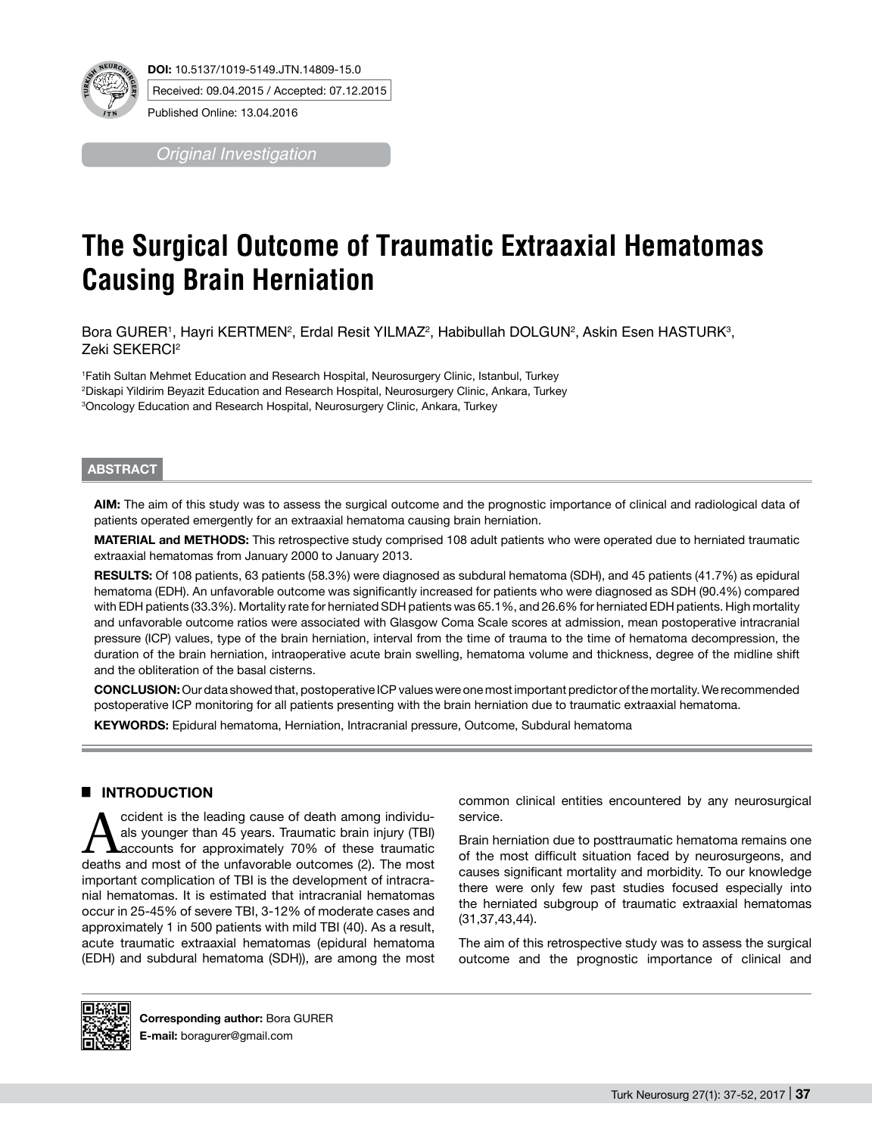

*Original Investigation*

# **The Surgical Outcome of Traumatic Extraaxial Hematomas Causing Brain Herniation**

Bora GURER1, Hayri KERTMEN², Erdal Resit YILMAZ², Habibullah DOLGUN², Askin Esen HASTURK<sup>3</sup>, Zeki SEKERCI<sup>2</sup>

1 Fatih Sultan Mehmet Education and Research Hospital, Neurosurgery Clinic, Istanbul, Turkey 2 Diskapi Yildirim Beyazit Education and Research Hospital, Neurosurgery Clinic, Ankara, Turkey 3 Oncology Education and Research Hospital, Neurosurgery Clinic, Ankara, Turkey

## **ABSTRACT**

**AIm:** The aim of this study was to assess the surgical outcome and the prognostic importance of clinical and radiological data of patients operated emergently for an extraaxial hematoma causing brain herniation.

**MaterIal and Methods:** This retrospective study comprised 108 adult patients who were operated due to herniated traumatic extraaxial hematomas from January 2000 to January 2013.

**Results:** Of 108 patients, 63 patients (58.3%) were diagnosed as subdural hematoma (SDH), and 45 patients (41.7%) as epidural hematoma (EDH). An unfavorable outcome was significantly increased for patients who were diagnosed as SDH (90.4%) compared with EDH patients (33.3%). Mortality rate for herniated SDH patients was 65.1%, and 26.6% for herniated EDH patients. High mortality and unfavorable outcome ratios were associated with Glasgow Coma Scale scores at admission, mean postoperative intracranial pressure (ICP) values, type of the brain herniation, interval from the time of trauma to the time of hematoma decompression, the duration of the brain herniation, intraoperative acute brain swelling, hematoma volume and thickness, degree of the midline shift and the obliteration of the basal cisterns.

**ConclusIon:** Our data showed that, postoperative ICP values were one most important predictor of the mortality. We recommended postoperative ICP monitoring for all patients presenting with the brain herniation due to traumatic extraaxial hematoma.

**Keywords:** Epidural hematoma, Herniation, Intracranial pressure, Outcome, Subdural hematoma

## █ **INTRODUCTION**

Accident is the leading cause of death among individu-<br>als younger than 45 years. Traumatic brain injury (TBI)<br>deaths and most of the unfavorable outcomes (2). The most als younger than 45 years. Traumatic brain injury (TBI) deaths and most of the unfavorable outcomes (2). The most important complication of TBI is the development of intracranial hematomas. It is estimated that intracranial hematomas occur in 25-45% of severe TBI, 3-12% of moderate cases and approximately 1 in 500 patients with mild TBI (40). As a result, acute traumatic extraaxial hematomas (epidural hematoma (EDH) and subdural hematoma (SDH)), are among the most

common clinical entities encountered by any neurosurgical service.

Brain herniation due to posttraumatic hematoma remains one of the most difficult situation faced by neurosurgeons, and causes significant mortality and morbidity. To our knowledge there were only few past studies focused especially into the herniated subgroup of traumatic extraaxial hematomas (31,37,43,44).

The aim of this retrospective study was to assess the surgical outcome and the prognostic importance of clinical and



**Corresponding author:** Bora GURER **E-mail:** boragurer@gmail.com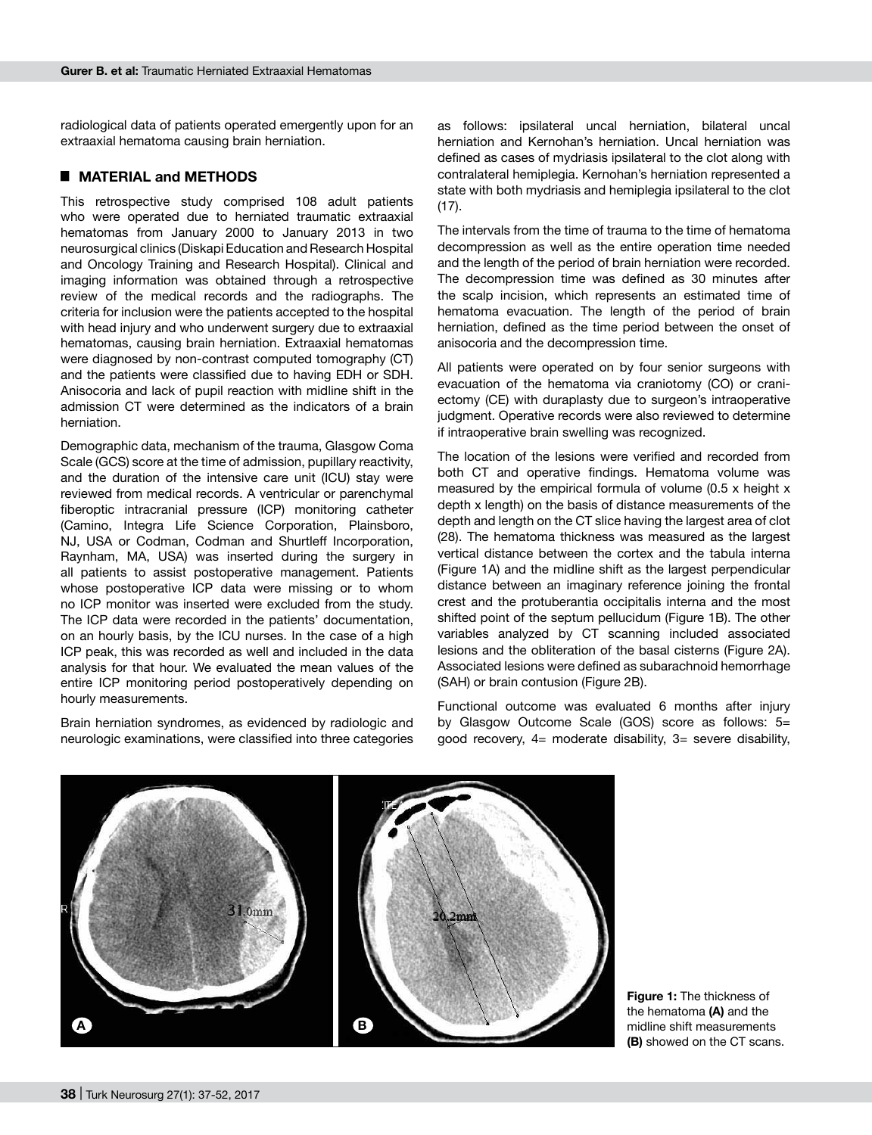radiological data of patients operated emergently upon for an extraaxial hematoma causing brain herniation.

## █ **MATERIAL and METHODS**

This retrospective study comprised 108 adult patients who were operated due to herniated traumatic extraaxial hematomas from January 2000 to January 2013 in two neurosurgical clinics (Diskapi Education and Research Hospital and Oncology Training and Research Hospital). Clinical and imaging information was obtained through a retrospective review of the medical records and the radiographs. The criteria for inclusion were the patients accepted to the hospital with head injury and who underwent surgery due to extraaxial hematomas, causing brain herniation. Extraaxial hematomas were diagnosed by non-contrast computed tomography (CT) and the patients were classified due to having EDH or SDH. Anisocoria and lack of pupil reaction with midline shift in the admission CT were determined as the indicators of a brain herniation.

Demographic data, mechanism of the trauma, Glasgow Coma Scale (GCS) score at the time of admission, pupillary reactivity, and the duration of the intensive care unit (ICU) stay were reviewed from medical records. A ventricular or parenchymal fiberoptic intracranial pressure (ICP) monitoring catheter (Camino, Integra Life Science Corporation, Plainsboro, NJ, USA or Codman, Codman and Shurtleff Incorporation, Raynham, MA, USA) was inserted during the surgery in all patients to assist postoperative management. Patients whose postoperative ICP data were missing or to whom no ICP monitor was inserted were excluded from the study. The ICP data were recorded in the patients' documentation, on an hourly basis, by the ICU nurses. In the case of a high ICP peak, this was recorded as well and included in the data analysis for that hour. We evaluated the mean values of the entire ICP monitoring period postoperatively depending on hourly measurements.

Brain herniation syndromes, as evidenced by radiologic and neurologic examinations, were classified into three categories

as follows: ipsilateral uncal herniation, bilateral uncal herniation and Kernohan's herniation. Uncal herniation was defined as cases of mydriasis ipsilateral to the clot along with contralateral hemiplegia. Kernohan's herniation represented a state with both mydriasis and hemiplegia ipsilateral to the clot (17).

The intervals from the time of trauma to the time of hematoma decompression as well as the entire operation time needed and the length of the period of brain herniation were recorded. The decompression time was defined as 30 minutes after the scalp incision, which represents an estimated time of hematoma evacuation. The length of the period of brain herniation, defined as the time period between the onset of anisocoria and the decompression time.

All patients were operated on by four senior surgeons with evacuation of the hematoma via craniotomy (CO) or craniectomy (CE) with duraplasty due to surgeon's intraoperative judgment. Operative records were also reviewed to determine if intraoperative brain swelling was recognized.

The location of the lesions were verified and recorded from both CT and operative findings. Hematoma volume was measured by the empirical formula of volume (0.5 x height x depth x length) on the basis of distance measurements of the depth and length on the CT slice having the largest area of clot (28). The hematoma thickness was measured as the largest vertical distance between the cortex and the tabula interna (Figure 1A) and the midline shift as the largest perpendicular distance between an imaginary reference joining the frontal crest and the protuberantia occipitalis interna and the most shifted point of the septum pellucidum (Figure 1B). The other variables analyzed by CT scanning included associated lesions and the obliteration of the basal cisterns (Figure 2a). Associated lesions were defined as subarachnoid hemorrhage (SAH) or brain contusion (Figure 2b).

Functional outcome was evaluated 6 months after injury by Glasgow Outcome Scale (GOS) score as follows: 5= good recovery, 4= moderate disability, 3= severe disability,



**Figure 1:** The thickness of the hematoma **(a)** and the midline shift measurements **(b)** showed on the CT scans.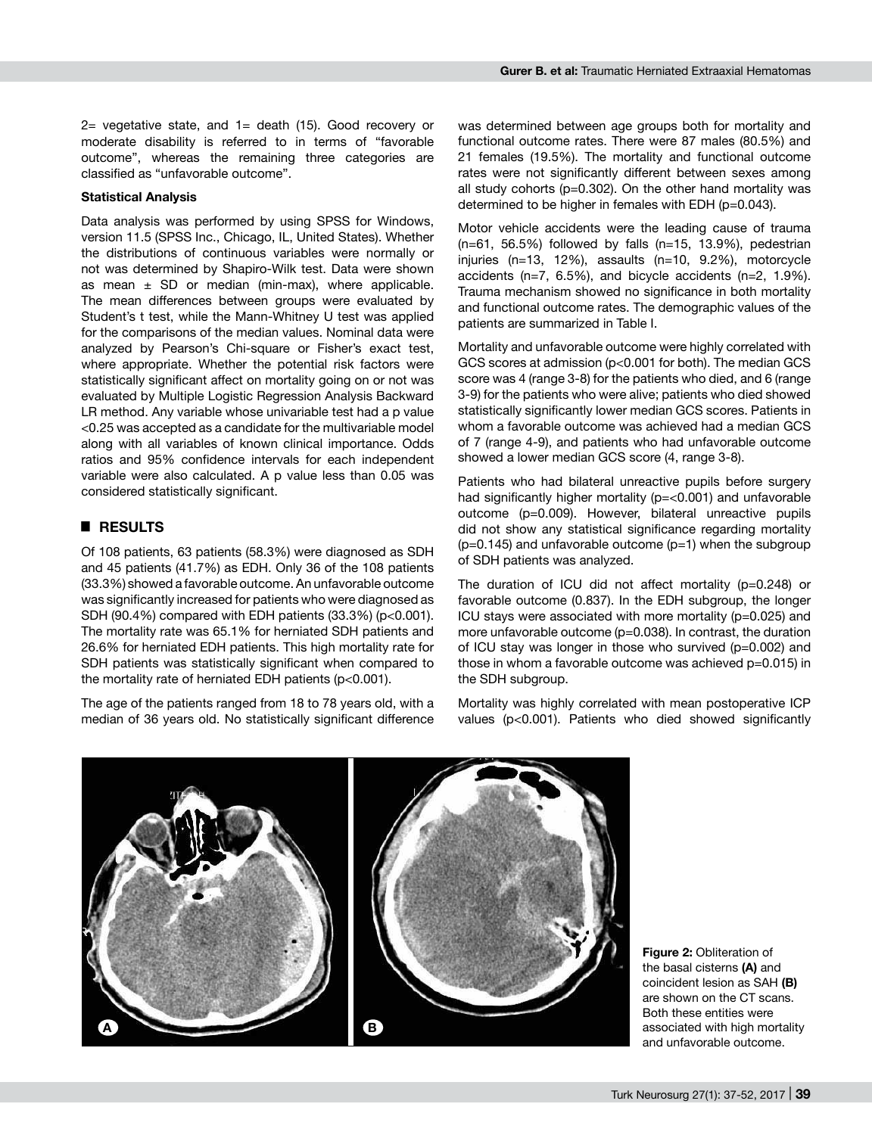2= vegetative state, and 1= death (15). Good recovery or moderate disability is referred to in terms of "favorable outcome", whereas the remaining three categories are classified as "unfavorable outcome".

#### **Statistical Analysis**

Data analysis was performed by using SPSS for Windows, version 11.5 (SPSS Inc., Chicago, IL, United States). Whether the distributions of continuous variables were normally or not was determined by Shapiro-Wilk test. Data were shown as mean  $\pm$  SD or median (min-max), where applicable. The mean differences between groups were evaluated by Student's t test, while the Mann-Whitney U test was applied for the comparisons of the median values. Nominal data were analyzed by Pearson's Chi-square or Fisher's exact test, where appropriate. Whether the potential risk factors were statistically significant affect on mortality going on or not was evaluated by Multiple Logistic Regression Analysis Backward LR method. Any variable whose univariable test had a p value <0.25 was accepted as a candidate for the multivariable model along with all variables of known clinical importance. Odds ratios and 95% confidence intervals for each independent variable were also calculated. A p value less than 0.05 was considered statistically significant.

## █ **RESULTS**

Of 108 patients, 63 patients (58.3%) were diagnosed as SDH and 45 patients (41.7%) as EDH. Only 36 of the 108 patients (33.3%) showed a favorable outcome. An unfavorable outcome was significantly increased for patients who were diagnosed as SDH (90.4%) compared with EDH patients (33.3%) (p<0.001). The mortality rate was 65.1% for herniated SDH patients and 26.6% for herniated EDH patients. This high mortality rate for SDH patients was statistically significant when compared to the mortality rate of herniated EDH patients (p<0.001).

The age of the patients ranged from 18 to 78 years old, with a median of 36 years old. No statistically significant difference

was determined between age groups both for mortality and functional outcome rates. There were 87 males (80.5%) and 21 females (19.5%). The mortality and functional outcome rates were not significantly different between sexes among all study cohorts (p=0.302). On the other hand mortality was determined to be higher in females with EDH (p=0.043).

Motor vehicle accidents were the leading cause of trauma (n=61, 56.5%) followed by falls (n=15, 13.9%), pedestrian injuries (n=13, 12%), assaults (n=10, 9.2%), motorcycle accidents (n=7, 6.5%), and bicycle accidents (n=2, 1.9%). Trauma mechanism showed no significance in both mortality and functional outcome rates. The demographic values of the patients are summarized in Table I.

Mortality and unfavorable outcome were highly correlated with GCS scores at admission (p<0.001 for both). The median GCS score was 4 (range 3-8) for the patients who died, and 6 (range 3-9) for the patients who were alive; patients who died showed statistically significantly lower median GCS scores. Patients in whom a favorable outcome was achieved had a median GCS of 7 (range 4-9), and patients who had unfavorable outcome showed a lower median GCS score (4, range 3-8).

Patients who had bilateral unreactive pupils before surgery had significantly higher mortality (p=<0.001) and unfavorable outcome (p=0.009). However, bilateral unreactive pupils did not show any statistical significance regarding mortality  $(p=0.145)$  and unfavorable outcome  $(p=1)$  when the subgroup of SDH patients was analyzed.

The duration of ICU did not affect mortality (p=0.248) or favorable outcome (0.837). In the EDH subgroup, the longer ICU stays were associated with more mortality (p=0.025) and more unfavorable outcome (p=0.038). In contrast, the duration of ICU stay was longer in those who survived (p=0.002) and those in whom a favorable outcome was achieved p=0.015) in the SDH subgroup.

Mortality was highly correlated with mean postoperative ICP values (p<0.001). Patients who died showed significantly



**Figure 2:** Obliteration of the basal cisterns **(a)** and coincident lesion as SAH **(b)** are shown on the CT scans. Both these entities were associated with high mortality and unfavorable outcome.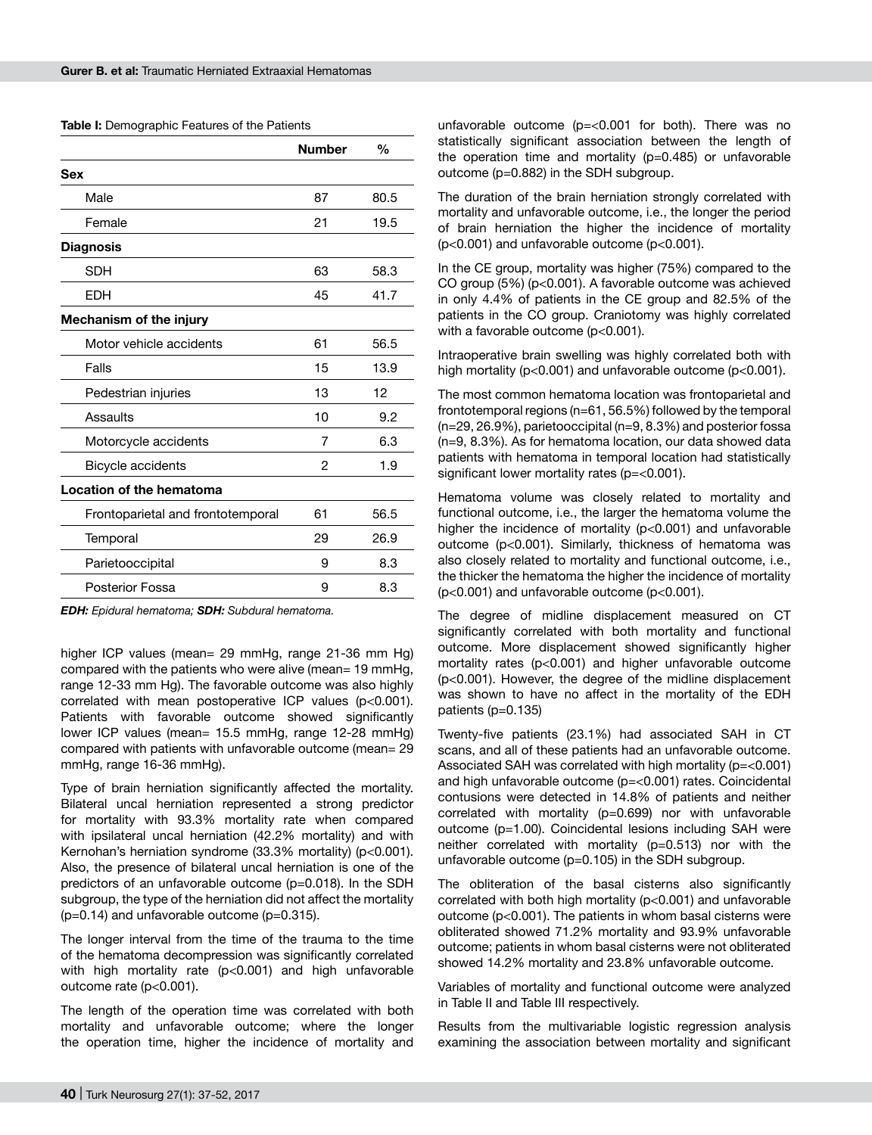**Table I:** Demographic Features of the Patients

|                                   | <b>Number</b> | %    |
|-----------------------------------|---------------|------|
| <b>Sex</b>                        |               |      |
| Male                              | 87            | 80.5 |
| Female                            | 21            | 19.5 |
| <b>Diagnosis</b>                  |               |      |
| <b>SDH</b>                        | 63            | 58.3 |
| <b>EDH</b>                        | 45            | 41.7 |
| Mechanism of the injury           |               |      |
| Motor vehicle accidents           | 61            | 56.5 |
| Falls                             | 15            | 13.9 |
| Pedestrian injuries               | 13            | 12   |
| Assaults                          | 10            | 9.2  |
| Motorcycle accidents              | 7             | 6.3  |
| Bicycle accidents                 | 2             | 1.9  |
| Location of the hematoma          |               |      |
| Frontoparietal and frontotemporal | 61            | 56.5 |
| Temporal                          | 29            | 26.9 |
| Parietooccipital                  | 9             | 8.3  |
| Posterior Fossa                   | 9             | 8.3  |
|                                   |               |      |

*EDH: Epidural hematoma; SDH: Subdural hematoma.*

higher ICP values (mean= 29 mmHg, range 21-36 mm Hg) compared with the patients who were alive (mean= 19 mmHg, range 12-33 mm Hg). The favorable outcome was also highly correlated with mean postoperative ICP values (p<0.001). Patients with favorable outcome showed significantly lower ICP values (mean= 15.5 mmHg, range 12-28 mmHg) compared with patients with unfavorable outcome (mean= 29 mmHg, range 16-36 mmHg).

Type of brain herniation significantly affected the mortality. Bilateral uncal herniation represented a strong predictor for mortality with 93.3% mortality rate when compared with ipsilateral uncal herniation (42.2% mortality) and with Kernohan's herniation syndrome (33.3% mortality) (p<0.001). Also, the presence of bilateral uncal herniation is one of the predictors of an unfavorable outcome (p=0.018). In the SDH subgroup, the type of the herniation did not affect the mortality  $(p=0.14)$  and unfavorable outcome  $(p=0.315)$ .

The longer interval from the time of the trauma to the time of the hematoma decompression was significantly correlated with high mortality rate (p<0.001) and high unfavorable outcome rate (p<0.001).

The length of the operation time was correlated with both mortality and unfavorable outcome; where the longer the operation time, higher the incidence of mortality and

unfavorable outcome (p=<0.001 for both). There was no statistically significant association between the length of the operation time and mortality (p=0.485) or unfavorable outcome (p=0.882) in the SDH subgroup.

The duration of the brain herniation strongly correlated with mortality and unfavorable outcome, i.e., the longer the period of brain herniation the higher the incidence of mortality (p<0.001) and unfavorable outcome (p<0.001).

In the CE group, mortality was higher (75%) compared to the CO group (5%) (p<0.001). A favorable outcome was achieved in only 4.4% of patients in the CE group and 82.5% of the patients in the CO group. Craniotomy was highly correlated with a favorable outcome (p<0.001).

Intraoperative brain swelling was highly correlated both with high mortality (p<0.001) and unfavorable outcome (p<0.001).

The most common hematoma location was frontoparietal and frontotemporal regions (n=61, 56.5%) followed by the temporal (n=29, 26.9%), parietooccipital (n=9, 8.3%) and posterior fossa (n=9, 8.3%). As for hematoma location, our data showed data patients with hematoma in temporal location had statistically significant lower mortality rates (p=<0.001).

Hematoma volume was closely related to mortality and functional outcome, i.e., the larger the hematoma volume the higher the incidence of mortality (p<0.001) and unfavorable outcome (p<0.001). Similarly, thickness of hematoma was also closely related to mortality and functional outcome, i.e., the thicker the hematoma the higher the incidence of mortality (p<0.001) and unfavorable outcome (p<0.001).

The degree of midline displacement measured on CT significantly correlated with both mortality and functional outcome. More displacement showed significantly higher mortality rates (p<0.001) and higher unfavorable outcome (p<0.001). However, the degree of the midline displacement was shown to have no affect in the mortality of the EDH patients (p=0.135)

Twenty-five patients (23.1%) had associated SAH in CT scans, and all of these patients had an unfavorable outcome. Associated SAH was correlated with high mortality (p=<0.001) and high unfavorable outcome (p=<0.001) rates. Coincidental contusions were detected in 14.8% of patients and neither correlated with mortality (p=0.699) nor with unfavorable outcome (p=1.00). Coincidental lesions including SAH were neither correlated with mortality (p=0.513) nor with the unfavorable outcome (p=0.105) in the SDH subgroup.

The obliteration of the basal cisterns also significantly correlated with both high mortality (p<0.001) and unfavorable outcome (p<0.001). The patients in whom basal cisterns were obliterated showed 71.2% mortality and 93.9% unfavorable outcome; patients in whom basal cisterns were not obliterated showed 14.2% mortality and 23.8% unfavorable outcome.

Variables of mortality and functional outcome were analyzed in Table II and Table III respectively.

Results from the multivariable logistic regression analysis examining the association between mortality and significant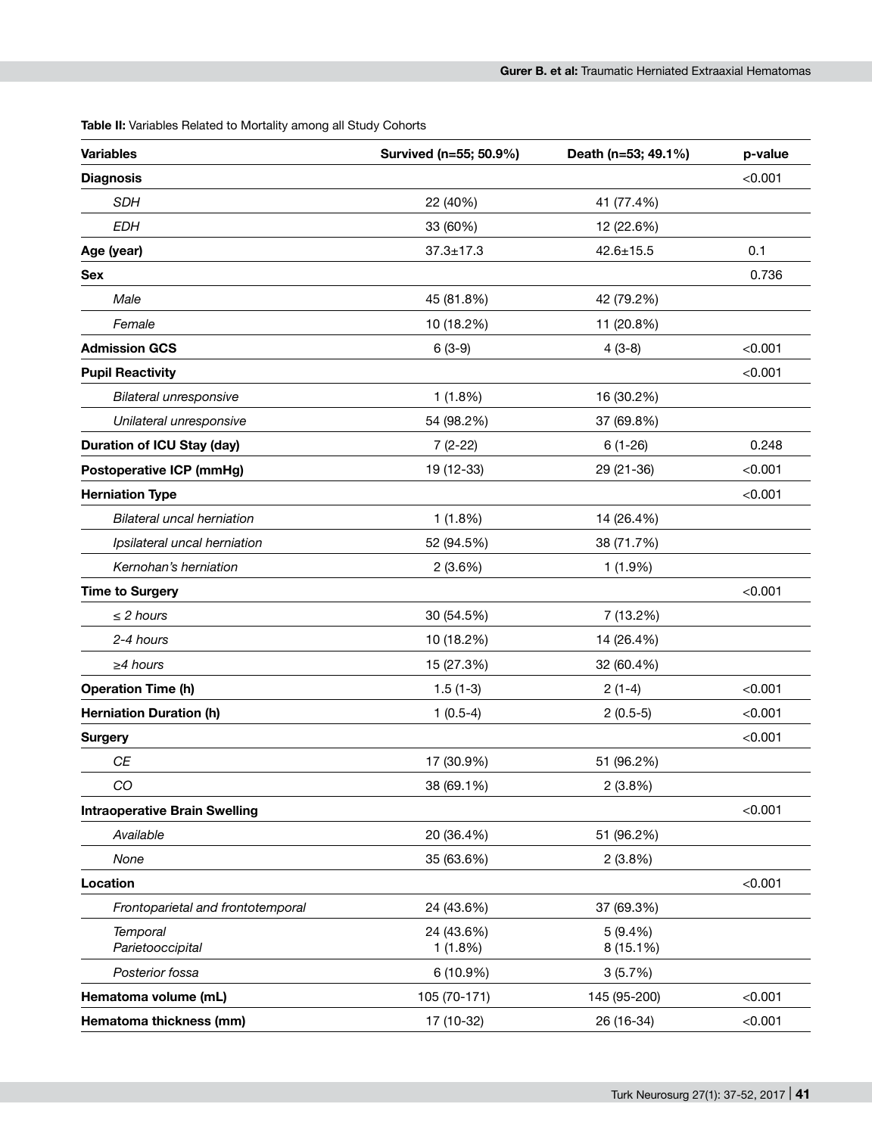**Table II:** Variables Related to Mortality among all Study Cohorts

| <b>Variables</b>                     | Survived (n=55; 50.9%) | Death (n=53; 49.1%)  | p-value |
|--------------------------------------|------------------------|----------------------|---------|
| <b>Diagnosis</b>                     |                        |                      | < 0.001 |
| <b>SDH</b>                           | 22 (40%)               | 41 (77.4%)           |         |
| <b>EDH</b>                           | 33 (60%)               | 12 (22.6%)           |         |
| Age (year)                           | $37.3 \pm 17.3$        | $42.6 \pm 15.5$      | 0.1     |
| Sex                                  |                        |                      | 0.736   |
| Male                                 | 45 (81.8%)             | 42 (79.2%)           |         |
| Female                               | 10 (18.2%)             | 11 (20.8%)           |         |
| <b>Admission GCS</b>                 | $6(3-9)$               | $4(3-8)$             | < 0.001 |
| <b>Pupil Reactivity</b>              |                        |                      | < 0.001 |
| <b>Bilateral unresponsive</b>        | 1(1.8%)                | 16 (30.2%)           |         |
| Unilateral unresponsive              | 54 (98.2%)             | 37 (69.8%)           |         |
| <b>Duration of ICU Stay (day)</b>    | $7(2-22)$              | $6(1-26)$            | 0.248   |
| <b>Postoperative ICP (mmHg)</b>      | 19 (12-33)             | 29 (21-36)           | < 0.001 |
| <b>Herniation Type</b>               |                        |                      | < 0.001 |
| <b>Bilateral uncal herniation</b>    | 1(1.8%)                | 14 (26.4%)           |         |
| Ipsilateral uncal herniation         | 52 (94.5%)             | 38 (71.7%)           |         |
| Kernohan's herniation                | 2(3.6%)                | 1 (1.9%)             |         |
| <b>Time to Surgery</b>               |                        |                      | < 0.001 |
| $\leq$ 2 hours                       | 30 (54.5%)             | 7 (13.2%)            |         |
| 2-4 hours                            | 10 (18.2%)             | 14 (26.4%)           |         |
| $\geq$ 4 hours                       | 15 (27.3%)             | 32 (60.4%)           |         |
| <b>Operation Time (h)</b>            | $1.5(1-3)$             | $2(1-4)$             | < 0.001 |
| <b>Herniation Duration (h)</b>       | $1(0.5-4)$             | $2(0.5-5)$           | < 0.001 |
| <b>Surgery</b>                       |                        |                      | < 0.001 |
| <b>CE</b>                            | 17 (30.9%)             | 51 (96.2%)           |         |
| CO                                   | 38 (69.1%)             | 2(3.8%)              |         |
| <b>Intraoperative Brain Swelling</b> |                        |                      | < 0.001 |
| Available                            | 20 (36.4%)             | 51 (96.2%)           |         |
| None                                 | 35 (63.6%)             | 2(3.8%)              |         |
| Location                             |                        |                      | < 0.001 |
| Frontoparietal and frontotemporal    | 24 (43.6%)             | 37 (69.3%)           |         |
| <b>Temporal</b><br>Parietooccipital  | 24 (43.6%)<br>1(1.8%)  | 5(9.4%)<br>8 (15.1%) |         |
| Posterior fossa                      | 6 (10.9%)              | 3(5.7%)              |         |
| Hematoma volume (mL)                 | 105 (70-171)           | 145 (95-200)         | < 0.001 |
| Hematoma thickness (mm)              | 17 (10-32)             | 26 (16-34)           | < 0.001 |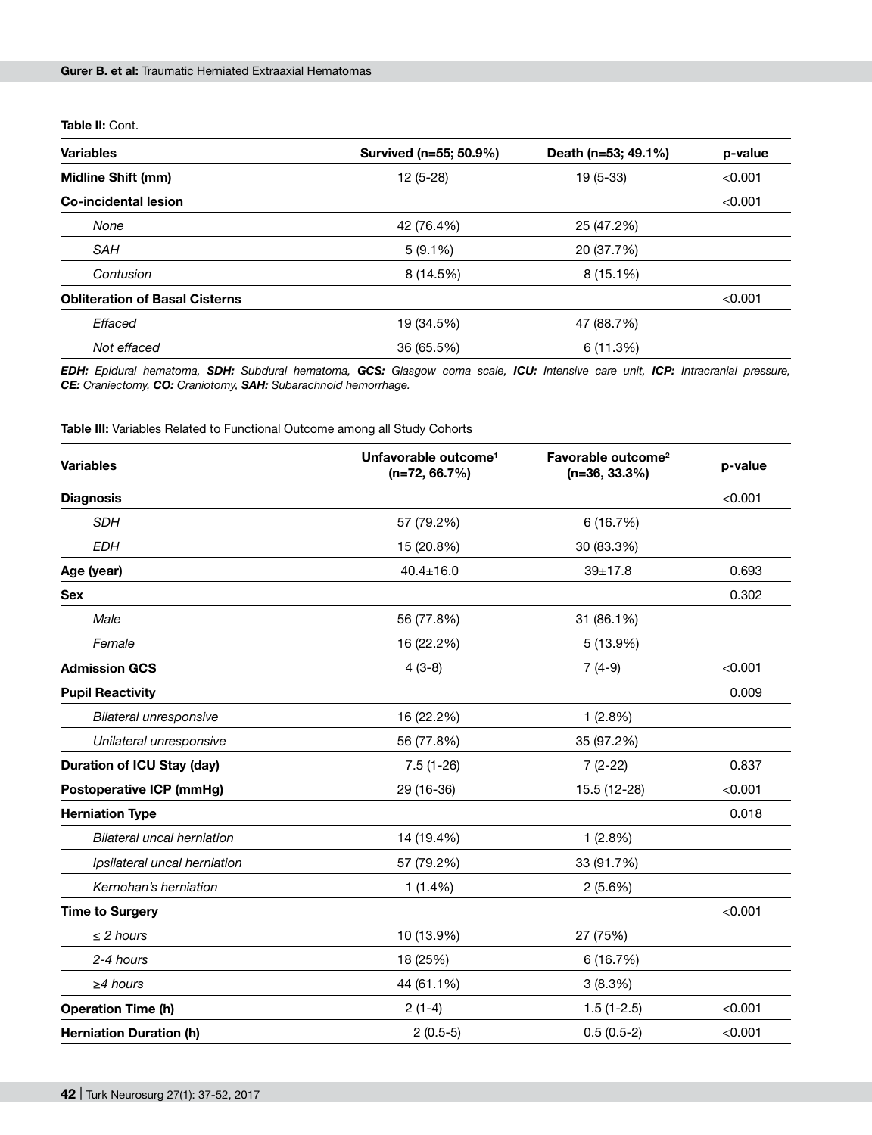#### **Table II:** Cont.

| <b>Variables</b>                      | Survived (n=55; 50.9%) | Death (n=53; 49.1%) | p-value |
|---------------------------------------|------------------------|---------------------|---------|
| <b>Midline Shift (mm)</b>             | $12(5-28)$             | 19 (5-33)           | < 0.001 |
| Co-incidental lesion                  |                        |                     | < 0.001 |
| None                                  | 42 (76.4%)             | 25 (47.2%)          |         |
| SAH                                   | $5(9.1\%)$             | 20 (37.7%)          |         |
| Contusion                             | 8 (14.5%)              | $8(15.1\%)$         |         |
| <b>Obliteration of Basal Cisterns</b> |                        |                     | < 0.001 |
| Effaced                               | 19 (34.5%)             | 47 (88.7%)          |         |
| Not effaced                           | 36 (65.5%)             | 6 (11.3%)           |         |

*EDH: Epidural hematoma, SDH: Subdural hematoma, GCS: Glasgow coma scale, ICU: Intensive care unit, ICP: Intracranial pressure, CE: Craniectomy, CO: Craniotomy, SAH: Subarachnoid hemorrhage.*

**Table III:** Variables Related to Functional Outcome among all Study Cohorts

| <b>Variables</b>                  | Unfavorable outcome <sup>1</sup><br>$(n=72, 66.7%)$ | Favorable outcome <sup>2</sup><br>$(n=36, 33.3%)$ | p-value |
|-----------------------------------|-----------------------------------------------------|---------------------------------------------------|---------|
| <b>Diagnosis</b>                  |                                                     |                                                   | < 0.001 |
| <b>SDH</b>                        | 57 (79.2%)                                          | 6 (16.7%)                                         |         |
| <b>EDH</b>                        | 15 (20.8%)                                          | 30 (83.3%)                                        |         |
| Age (year)                        | $40.4 \pm 16.0$                                     | $39 + 17.8$                                       | 0.693   |
| <b>Sex</b>                        |                                                     |                                                   | 0.302   |
| Male                              | 56 (77.8%)                                          | 31 (86.1%)                                        |         |
| Female                            | 16 (22.2%)                                          | 5 (13.9%)                                         |         |
| <b>Admission GCS</b>              | $4(3-8)$                                            | $7(4-9)$                                          | < 0.001 |
| <b>Pupil Reactivity</b>           |                                                     |                                                   | 0.009   |
| Bilateral unresponsive            | 16 (22.2%)                                          | 1(2.8%)                                           |         |
| Unilateral unresponsive           | 56 (77.8%)                                          | 35 (97.2%)                                        |         |
| <b>Duration of ICU Stay (day)</b> | $7.5(1-26)$                                         | $7(2-22)$                                         | 0.837   |
| <b>Postoperative ICP (mmHg)</b>   | 29 (16-36)                                          | 15.5 (12-28)                                      | < 0.001 |
| <b>Herniation Type</b>            |                                                     |                                                   | 0.018   |
| Bilateral uncal herniation        | 14 (19.4%)                                          | 1(2.8%)                                           |         |
| Ipsilateral uncal herniation      | 57 (79.2%)                                          | 33 (91.7%)                                        |         |
| Kernohan's herniation             | $1(1.4\%)$                                          | 2(5.6%)                                           |         |
| <b>Time to Surgery</b>            |                                                     |                                                   | < 0.001 |
| $\leq$ 2 hours                    | 10 (13.9%)                                          | 27 (75%)                                          |         |
| 2-4 hours                         | 18 (25%)                                            | 6(16.7%)                                          |         |
| $\geq$ 4 hours                    | 44 (61.1%)                                          | 3(8.3%)                                           |         |
| <b>Operation Time (h)</b>         | $2(1-4)$                                            | $1.5(1-2.5)$                                      | < 0.001 |
| <b>Herniation Duration (h)</b>    | $2(0.5-5)$                                          | $0.5(0.5-2)$                                      | < 0.001 |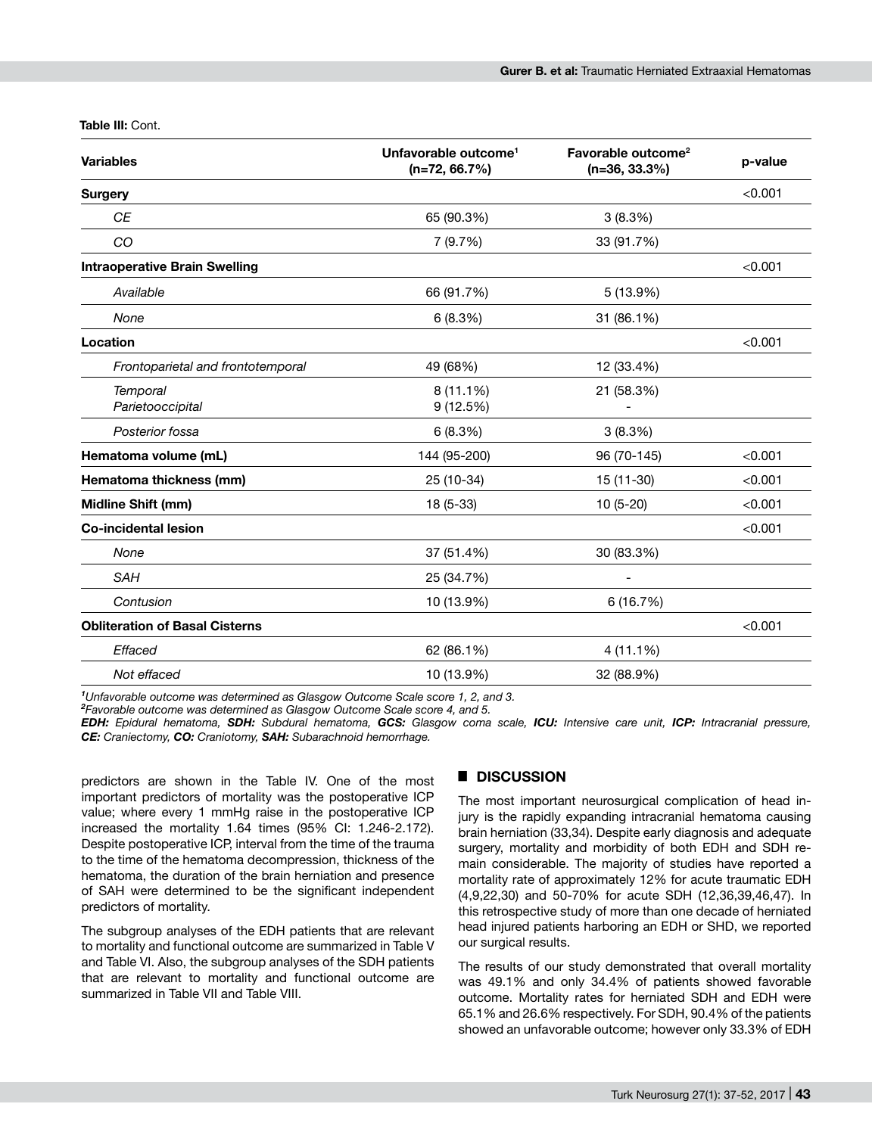**Table III:** Cont.

| <b>Variables</b>                      | Unfavorable outcome <sup>1</sup><br>$(n=72, 66.7%)$ | Favorable outcome <sup>2</sup><br>$(n=36, 33.3%)$ | p-value |
|---------------------------------------|-----------------------------------------------------|---------------------------------------------------|---------|
| <b>Surgery</b>                        |                                                     |                                                   | < 0.001 |
| <b>CE</b>                             | 65 (90.3%)                                          | 3(8.3%)                                           |         |
| CO                                    | 7(9.7%)                                             | 33 (91.7%)                                        |         |
| <b>Intraoperative Brain Swelling</b>  |                                                     |                                                   | < 0.001 |
| Available                             | 66 (91.7%)                                          | 5 (13.9%)                                         |         |
| None                                  | 6(8.3%)                                             | 31 (86.1%)                                        |         |
| Location                              |                                                     |                                                   | < 0.001 |
| Frontoparietal and frontotemporal     | 49 (68%)                                            | 12 (33.4%)                                        |         |
| <b>Temporal</b><br>Parietooccipital   | $8(11.1\%)$<br>9(12.5%)                             | 21 (58.3%)                                        |         |
| Posterior fossa                       | 6(8.3%)                                             | 3(8.3%)                                           |         |
| Hematoma volume (mL)                  | 144 (95-200)                                        | 96 (70-145)                                       | < 0.001 |
| Hematoma thickness (mm)               | 25 (10-34)                                          | 15 (11-30)                                        | < 0.001 |
| Midline Shift (mm)                    | 18 (5-33)                                           | 10 (5-20)                                         | < 0.001 |
| <b>Co-incidental lesion</b>           |                                                     |                                                   | < 0.001 |
| None                                  | 37 (51.4%)                                          | 30 (83.3%)                                        |         |
| <b>SAH</b>                            | 25 (34.7%)                                          |                                                   |         |
| Contusion                             | 10 (13.9%)                                          | 6 (16.7%)                                         |         |
| <b>Obliteration of Basal Cisterns</b> |                                                     |                                                   | < 0.001 |
| Effaced                               | 62 (86.1%)                                          | 4 (11.1%)                                         |         |
| Not effaced                           | 10 (13.9%)                                          | 32 (88.9%)                                        |         |

<sup>1</sup>Unfavorable outcome was determined as Glasgow Outcome Scale score 1, 2, and 3,

*Unfavorable outcome was determined as Glasgow Outcome Scale score 1, 2, and 3. <sup>2</sup> Favorable outcome was determined as Glasgow Outcome Scale score 4, and 5.*

*EDH: Epidural hematoma, SDH: Subdural hematoma, GCS: Glasgow coma scale, ICU: Intensive care unit, ICP: Intracranial pressure, CE: Craniectomy, CO: Craniotomy, SAH: Subarachnoid hemorrhage.*

predictors are shown in the Table IV. One of the most important predictors of mortality was the postoperative ICP value; where every 1 mmHg raise in the postoperative ICP increased the mortality 1.64 times (95% CI: 1.246-2.172). Despite postoperative ICP, interval from the time of the trauma to the time of the hematoma decompression, thickness of the hematoma, the duration of the brain herniation and presence of SAH were determined to be the significant independent predictors of mortality.

The subgroup analyses of the EDH patients that are relevant to mortality and functional outcome are summarized in Table V and Table VI. Also, the subgroup analyses of the SDH patients that are relevant to mortality and functional outcome are summarized in Table VII and Table VIII.

## █ **DISCUSSION**

The most important neurosurgical complication of head injury is the rapidly expanding intracranial hematoma causing brain herniation (33,34). Despite early diagnosis and adequate surgery, mortality and morbidity of both EDH and SDH remain considerable. The majority of studies have reported a mortality rate of approximately 12% for acute traumatic EDH (4,9,22,30) and 50-70% for acute SDH (12,36,39,46,47). In this retrospective study of more than one decade of herniated head injured patients harboring an EDH or SHD, we reported our surgical results.

The results of our study demonstrated that overall mortality was 49.1% and only 34.4% of patients showed favorable outcome. Mortality rates for herniated SDH and EDH were 65.1% and 26.6% respectively. For SDH, 90.4% of the patients showed an unfavorable outcome; however only 33.3% of EDH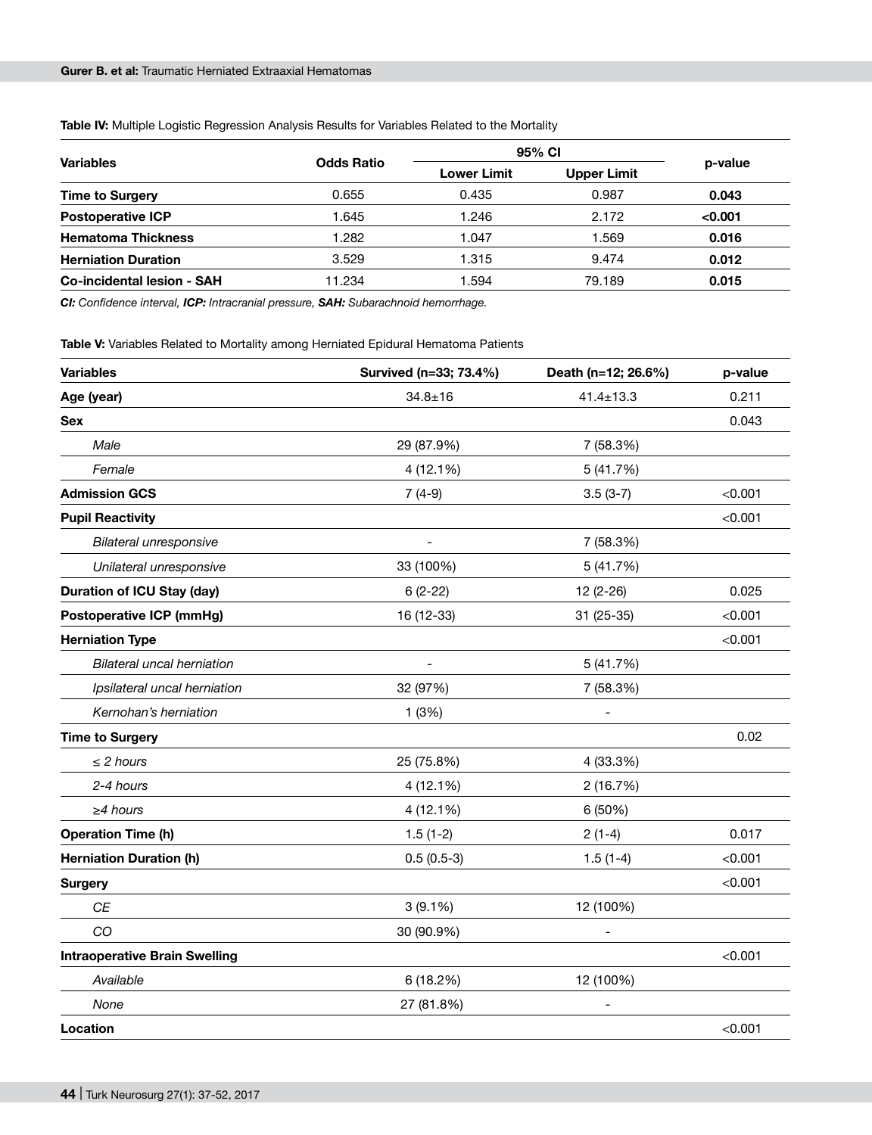|  | Table IV: Multiple Logistic Regression Analysis Results for Variables Related to the Mortality |
|--|------------------------------------------------------------------------------------------------|
|--|------------------------------------------------------------------------------------------------|

|                                   |                   | 95% CI             |                    |         |
|-----------------------------------|-------------------|--------------------|--------------------|---------|
| <b>Variables</b>                  | <b>Odds Ratio</b> | <b>Lower Limit</b> | <b>Upper Limit</b> | p-value |
| <b>Time to Surgery</b>            | 0.655             | 0.435              | 0.987              | 0.043   |
| <b>Postoperative ICP</b>          | 1.645             | 1.246              | 2.172              | < 0.001 |
| <b>Hematoma Thickness</b>         | 1.282             | 1.047              | 1.569              | 0.016   |
| <b>Herniation Duration</b>        | 3.529             | 1.315              | 9.474              | 0.012   |
| <b>Co-incidental lesion - SAH</b> | 11.234            | 1.594              | 79.189             | 0.015   |

*CI: Confidence interval, ICP: Intracranial pressure, SAH: Subarachnoid hemorrhage.*

**Table V:** Variables Related to Mortality among Herniated Epidural Hematoma Patients

| <b>Variables</b>                     | Survived (n=33; 73.4%)   | Death (n=12; 26.6%) | p-value |
|--------------------------------------|--------------------------|---------------------|---------|
| Age (year)                           | $34.8 + 16$              | $41.4 \pm 13.3$     | 0.211   |
| Sex                                  |                          |                     | 0.043   |
| Male                                 | 29 (87.9%)               | 7 (58.3%)           |         |
| Female                               | 4 (12.1%)                | 5(41.7%)            |         |
| <b>Admission GCS</b>                 | $7(4-9)$                 | $3.5(3-7)$          | < 0.001 |
| <b>Pupil Reactivity</b>              |                          |                     | < 0.001 |
| Bilateral unresponsive               | $\overline{\phantom{a}}$ | 7 (58.3%)           |         |
| Unilateral unresponsive              | 33 (100%)                | 5(41.7%)            |         |
| <b>Duration of ICU Stay (day)</b>    | $6(2-22)$                | 12 (2-26)           | 0.025   |
| <b>Postoperative ICP (mmHg)</b>      | 16 (12-33)               | 31 (25-35)          | < 0.001 |
| <b>Herniation Type</b>               |                          |                     | < 0.001 |
| <b>Bilateral uncal herniation</b>    | $\overline{a}$           | 5(41.7%)            |         |
| Ipsilateral uncal herniation         | 32 (97%)                 | 7 (58.3%)           |         |
| Kernohan's herniation                | 1(3%)                    |                     |         |
| <b>Time to Surgery</b>               |                          |                     | 0.02    |
| $\leq$ 2 hours                       | 25 (75.8%)               | 4 (33.3%)           |         |
| 2-4 hours                            | 4 (12.1%)                | 2 (16.7%)           |         |
| $\geq$ 4 hours                       | 4 (12.1%)                | 6 (50%)             |         |
| <b>Operation Time (h)</b>            | $1.5(1-2)$               | $2(1-4)$            | 0.017   |
| <b>Herniation Duration (h)</b>       | $0.5(0.5-3)$             | $1.5(1-4)$          | < 0.001 |
| <b>Surgery</b>                       |                          |                     | < 0.001 |
| <b>CE</b>                            | $3(9.1\%)$               | 12 (100%)           |         |
| CO                                   | 30 (90.9%)               |                     |         |
| <b>Intraoperative Brain Swelling</b> |                          |                     | < 0.001 |
| Available                            | 6 (18.2%)                | 12 (100%)           |         |
| None                                 | 27 (81.8%)               |                     |         |
| Location                             |                          |                     | < 0.001 |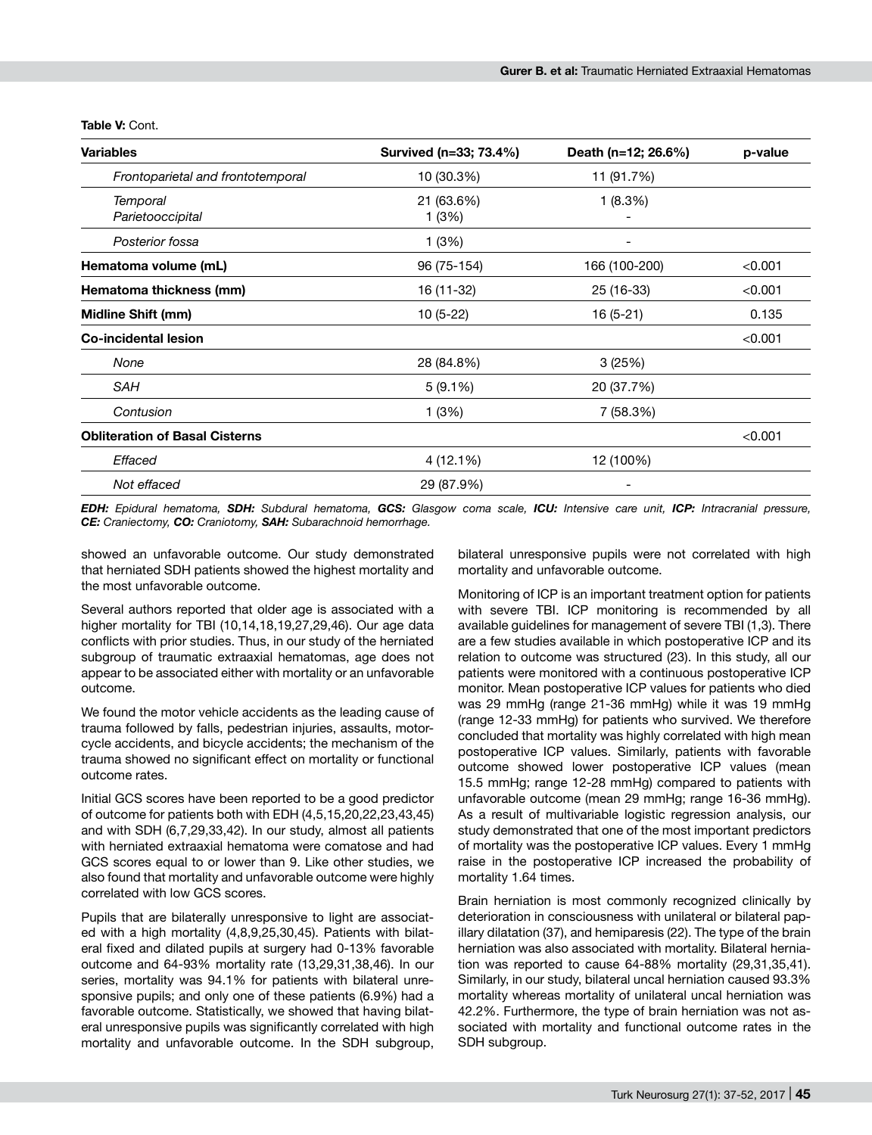| <b>Variables</b>                      | Survived (n=33; 73.4%) | Death (n=12; 26.6%) | p-value |
|---------------------------------------|------------------------|---------------------|---------|
| Frontoparietal and frontotemporal     | 10 (30.3%)             | 11 (91.7%)          |         |
| Temporal<br>Parietooccipital          | 21 (63.6%)<br>1(3%)    | 1(8.3%)             |         |
| Posterior fossa                       | 1 (3%)                 |                     |         |
| Hematoma volume (mL)                  | 96 (75-154)            | 166 (100-200)       | < 0.001 |
| Hematoma thickness (mm)               | 16 (11-32)             | 25 (16-33)          | < 0.001 |
| Midline Shift (mm)                    | $10(5-22)$             | 16 (5-21)           | 0.135   |
| <b>Co-incidental lesion</b>           |                        |                     | < 0.001 |
| None                                  | 28 (84.8%)             | 3(25%)              |         |
| <b>SAH</b>                            | $5(9.1\%)$             | 20 (37.7%)          |         |
| Contusion                             | 1 (3%)                 | 7 (58.3%)           |         |
| <b>Obliteration of Basal Cisterns</b> |                        |                     | < 0.001 |
| Effaced                               | 4 (12.1%)              | 12 (100%)           |         |
| Not effaced                           | 29 (87.9%)             |                     |         |

**Table V:** Cont.

*EDH: Epidural hematoma, SDH: Subdural hematoma, GCS: Glasgow coma scale, ICU: Intensive care unit, ICP: Intracranial pressure, CE: Craniectomy, CO: Craniotomy, SAH: Subarachnoid hemorrhage.*

showed an unfavorable outcome. Our study demonstrated that herniated SDH patients showed the highest mortality and the most unfavorable outcome.

Several authors reported that older age is associated with a higher mortality for TBI (10,14,18,19,27,29,46). Our age data conflicts with prior studies. Thus, in our study of the herniated subgroup of traumatic extraaxial hematomas, age does not appear to be associated either with mortality or an unfavorable outcome.

We found the motor vehicle accidents as the leading cause of trauma followed by falls, pedestrian injuries, assaults, motorcycle accidents, and bicycle accidents; the mechanism of the trauma showed no significant effect on mortality or functional outcome rates.

Initial GCS scores have been reported to be a good predictor of outcome for patients both with EDH (4,5,15,20,22,23,43,45) and with SDH (6,7,29,33,42). In our study, almost all patients with herniated extraaxial hematoma were comatose and had GCS scores equal to or lower than 9. Like other studies, we also found that mortality and unfavorable outcome were highly correlated with low GCS scores.

Pupils that are bilaterally unresponsive to light are associated with a high mortality (4,8,9,25,30,45). Patients with bilateral fixed and dilated pupils at surgery had 0-13% favorable outcome and 64-93% mortality rate (13,29,31,38,46). In our series, mortality was 94.1% for patients with bilateral unresponsive pupils; and only one of these patients (6.9%) had a favorable outcome. Statistically, we showed that having bilateral unresponsive pupils was significantly correlated with high mortality and unfavorable outcome. In the SDH subgroup,

bilateral unresponsive pupils were not correlated with high mortality and unfavorable outcome.

Monitoring of ICP is an important treatment option for patients with severe TBI. ICP monitoring is recommended by all available guidelines for management of severe TBI (1,3). There are a few studies available in which postoperative ICP and its relation to outcome was structured (23). In this study, all our patients were monitored with a continuous postoperative ICP monitor. Mean postoperative ICP values for patients who died was 29 mmHg (range 21-36 mmHg) while it was 19 mmHg (range 12-33 mmHg) for patients who survived. We therefore concluded that mortality was highly correlated with high mean postoperative ICP values. Similarly, patients with favorable outcome showed lower postoperative ICP values (mean 15.5 mmHg; range 12-28 mmHg) compared to patients with unfavorable outcome (mean 29 mmHg; range 16-36 mmHg). As a result of multivariable logistic regression analysis, our study demonstrated that one of the most important predictors of mortality was the postoperative ICP values. Every 1 mmHg raise in the postoperative ICP increased the probability of mortality 1.64 times.

Brain herniation is most commonly recognized clinically by deterioration in consciousness with unilateral or bilateral papillary dilatation (37), and hemiparesis (22). The type of the brain herniation was also associated with mortality. Bilateral herniation was reported to cause 64-88% mortality (29,31,35,41). Similarly, in our study, bilateral uncal herniation caused 93.3% mortality whereas mortality of unilateral uncal herniation was 42.2%. Furthermore, the type of brain herniation was not associated with mortality and functional outcome rates in the SDH subgroup.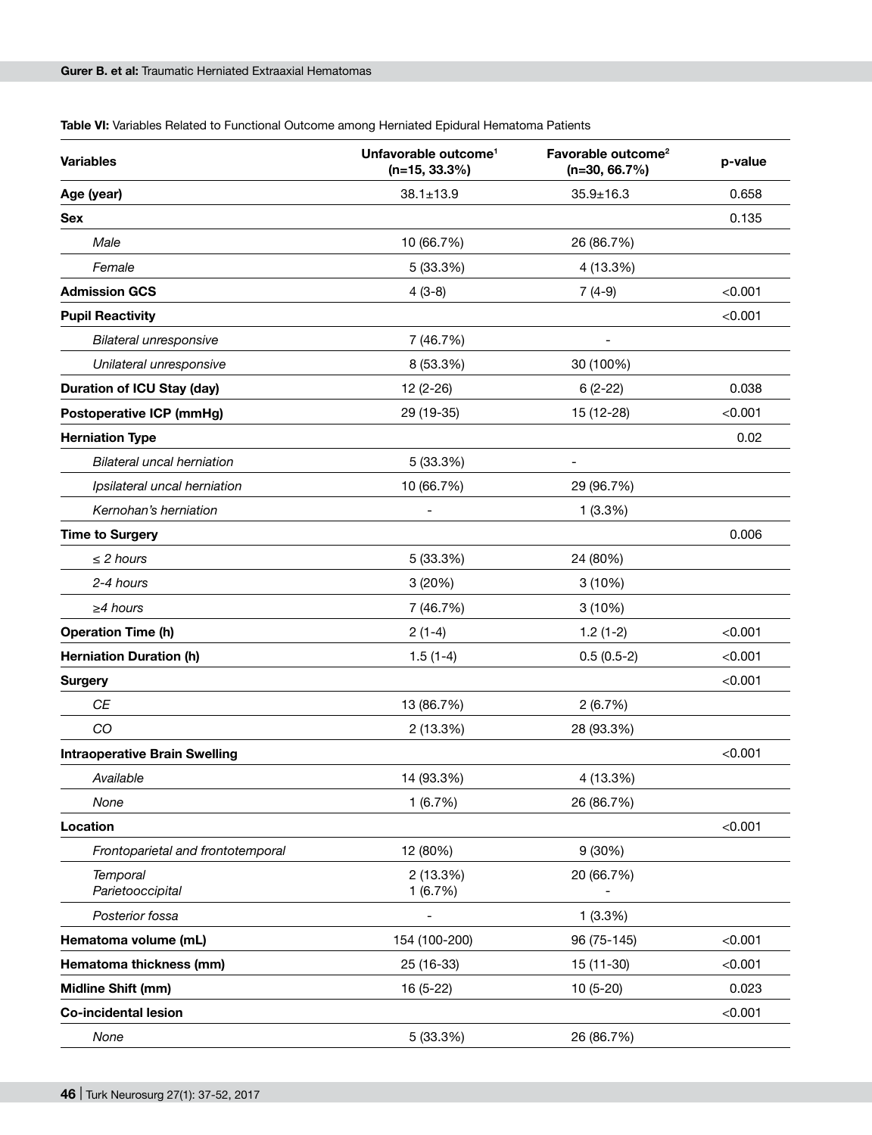| Table VI: Variables Related to Functional Outcome among Herniated Epidural Hematoma Patients |  |
|----------------------------------------------------------------------------------------------|--|
|----------------------------------------------------------------------------------------------|--|

| <b>Variables</b>                     | Unfavorable outcome <sup>1</sup><br>$(n=15, 33.3%)$ | Favorable outcome <sup>2</sup><br>$(n=30, 66.7%)$ | p-value |
|--------------------------------------|-----------------------------------------------------|---------------------------------------------------|---------|
| Age (year)                           | $38.1 \pm 13.9$                                     | $35.9 \pm 16.3$                                   | 0.658   |
| <b>Sex</b>                           |                                                     |                                                   | 0.135   |
| Male                                 | 10 (66.7%)                                          | 26 (86.7%)                                        |         |
| Female                               | 5 (33.3%)                                           | 4 (13.3%)                                         |         |
| <b>Admission GCS</b>                 | $4(3-8)$                                            | $7(4-9)$                                          | < 0.001 |
| <b>Pupil Reactivity</b>              |                                                     |                                                   | < 0.001 |
| Bilateral unresponsive               | 7 (46.7%)                                           |                                                   |         |
| Unilateral unresponsive              | 8 (53.3%)                                           | 30 (100%)                                         |         |
| <b>Duration of ICU Stay (day)</b>    | 12 (2-26)                                           | $6(2-22)$                                         | 0.038   |
| <b>Postoperative ICP (mmHg)</b>      | 29 (19-35)                                          | 15 (12-28)                                        | < 0.001 |
| <b>Herniation Type</b>               |                                                     |                                                   | 0.02    |
| <b>Bilateral uncal herniation</b>    | 5 (33.3%)                                           |                                                   |         |
| Ipsilateral uncal herniation         | 10 (66.7%)                                          | 29 (96.7%)                                        |         |
| Kernohan's herniation                |                                                     | 1(3.3%)                                           |         |
| <b>Time to Surgery</b>               |                                                     |                                                   | 0.006   |
| $\leq$ 2 hours                       | 5 (33.3%)                                           | 24 (80%)                                          |         |
| 2-4 hours                            | 3(20%)                                              | 3(10%)                                            |         |
| $\geq$ 4 hours                       | 7 (46.7%)                                           | 3(10%)                                            |         |
| <b>Operation Time (h)</b>            | $2(1-4)$                                            | $1.2(1-2)$                                        | < 0.001 |
| <b>Herniation Duration (h)</b>       | $1.5(1-4)$                                          | $0.5(0.5-2)$                                      | < 0.001 |
| <b>Surgery</b>                       |                                                     |                                                   | < 0.001 |
| CE                                   | 13 (86.7%)                                          | 2(6.7%)                                           |         |
| CO                                   | 2 (13.3%)                                           | 28 (93.3%)                                        |         |
| <b>Intraoperative Brain Swelling</b> |                                                     |                                                   | < 0.001 |
| Available                            | 14 (93.3%)                                          | 4 (13.3%)                                         |         |
| None                                 | 1(6.7%)                                             | 26 (86.7%)                                        |         |
| Location                             |                                                     |                                                   | < 0.001 |
| Frontoparietal and frontotemporal    | 12 (80%)                                            | 9(30%)                                            |         |
| <b>Temporal</b><br>Parietooccipital  | 2 (13.3%)<br>1(6.7%)                                | 20 (66.7%)                                        |         |
| Posterior fossa                      |                                                     | 1(3.3%)                                           |         |
| Hematoma volume (mL)                 | 154 (100-200)                                       | 96 (75-145)                                       | < 0.001 |
| Hematoma thickness (mm)              | 25 (16-33)                                          | 15 (11-30)                                        | < 0.001 |
| Midline Shift (mm)                   | 16 (5-22)                                           | 10 (5-20)                                         | 0.023   |
| <b>Co-incidental lesion</b>          |                                                     |                                                   | < 0.001 |
| None                                 | 5 (33.3%)                                           | 26 (86.7%)                                        |         |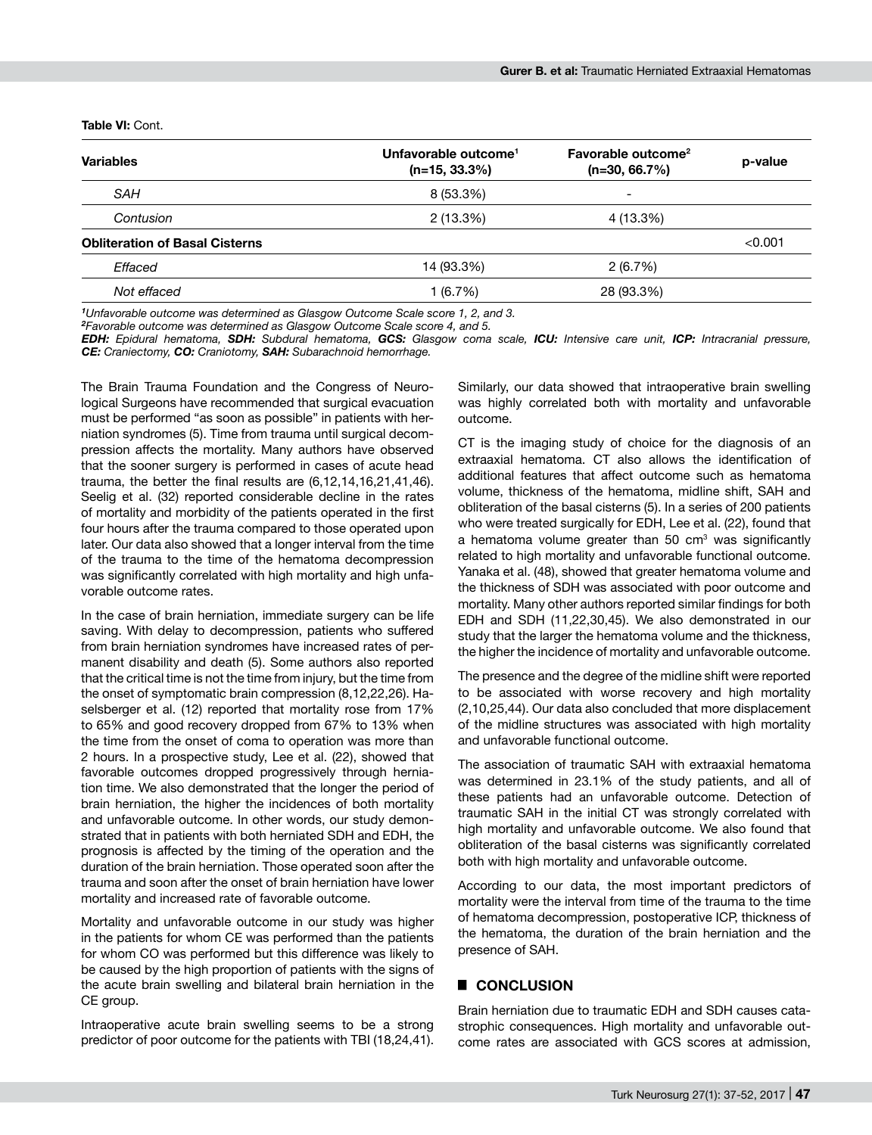#### **Table VI:** Cont.

| <b>Variables</b>                      | Unfavorable outcome <sup>1</sup><br>$(n=15, 33.3\%)$ | Favorable outcome <sup>2</sup><br>$(n=30, 66.7%)$ | p-value |
|---------------------------------------|------------------------------------------------------|---------------------------------------------------|---------|
| SAH                                   | 8 (53.3%)                                            | -                                                 |         |
| Contusion                             | 2(13.3%)                                             | 4 (13.3%)                                         |         |
| <b>Obliteration of Basal Cisterns</b> |                                                      |                                                   | < 0.001 |
| Effaced                               | 14 (93.3%)                                           | 2(6.7%)                                           |         |
| Not effaced                           | 1(6.7%)                                              | 28 (93.3%)                                        |         |

<sup>1</sup>Unfavorable outcome was determined as Glasgow Outcome Scale score 1, 2, and 3.

*Unfavorable outcome was determined as Glasgow Outcome Scale score 1, 2, and 3. <sup>2</sup> Favorable outcome was determined as Glasgow Outcome Scale score 4, and 5.*

*EDH: Epidural hematoma, SDH: Subdural hematoma, GCS: Glasgow coma scale, ICU: Intensive care unit, ICP: Intracranial pressure, CE: Craniectomy, CO: Craniotomy, SAH: Subarachnoid hemorrhage.*

The Brain Trauma Foundation and the Congress of Neurological Surgeons have recommended that surgical evacuation must be performed "as soon as possible" in patients with herniation syndromes (5). Time from trauma until surgical decompression affects the mortality. Many authors have observed that the sooner surgery is performed in cases of acute head trauma, the better the final results are (6,12,14,16,21,41,46). Seelig et al. (32) reported considerable decline in the rates of mortality and morbidity of the patients operated in the first four hours after the trauma compared to those operated upon later. Our data also showed that a longer interval from the time of the trauma to the time of the hematoma decompression was significantly correlated with high mortality and high unfavorable outcome rates.

In the case of brain herniation, immediate surgery can be life saving. With delay to decompression, patients who suffered from brain herniation syndromes have increased rates of permanent disability and death (5). Some authors also reported that the critical time is not the time from injury, but the time from the onset of symptomatic brain compression (8,12,22,26). Haselsberger et al. (12) reported that mortality rose from 17% to 65% and good recovery dropped from 67% to 13% when the time from the onset of coma to operation was more than 2 hours. In a prospective study, Lee et al. (22), showed that favorable outcomes dropped progressively through herniation time. We also demonstrated that the longer the period of brain herniation, the higher the incidences of both mortality and unfavorable outcome. In other words, our study demonstrated that in patients with both herniated SDH and EDH, the prognosis is affected by the timing of the operation and the duration of the brain herniation. Those operated soon after the trauma and soon after the onset of brain herniation have lower mortality and increased rate of favorable outcome.

Mortality and unfavorable outcome in our study was higher in the patients for whom CE was performed than the patients for whom CO was performed but this difference was likely to be caused by the high proportion of patients with the signs of the acute brain swelling and bilateral brain herniation in the CE group.

Intraoperative acute brain swelling seems to be a strong predictor of poor outcome for the patients with TBI (18,24,41).

Similarly, our data showed that intraoperative brain swelling was highly correlated both with mortality and unfavorable outcome.

CT is the imaging study of choice for the diagnosis of an extraaxial hematoma. CT also allows the identification of additional features that affect outcome such as hematoma volume, thickness of the hematoma, midline shift, SAH and obliteration of the basal cisterns (5). In a series of 200 patients who were treated surgically for EDH, Lee et al. (22), found that a hematoma volume greater than 50 cm<sup>3</sup> was significantly related to high mortality and unfavorable functional outcome. Yanaka et al. (48), showed that greater hematoma volume and the thickness of SDH was associated with poor outcome and mortality. Many other authors reported similar findings for both EDH and SDH (11,22,30,45). We also demonstrated in our study that the larger the hematoma volume and the thickness, the higher the incidence of mortality and unfavorable outcome.

The presence and the degree of the midline shift were reported to be associated with worse recovery and high mortality (2,10,25,44). Our data also concluded that more displacement of the midline structures was associated with high mortality and unfavorable functional outcome.

The association of traumatic SAH with extraaxial hematoma was determined in 23.1% of the study patients, and all of these patients had an unfavorable outcome. Detection of traumatic SAH in the initial CT was strongly correlated with high mortality and unfavorable outcome. We also found that obliteration of the basal cisterns was significantly correlated both with high mortality and unfavorable outcome.

According to our data, the most important predictors of mortality were the interval from time of the trauma to the time of hematoma decompression, postoperative ICP, thickness of the hematoma, the duration of the brain herniation and the presence of SAH.

## █ **CONCLUSION**

Brain herniation due to traumatic EDH and SDH causes catastrophic consequences. High mortality and unfavorable outcome rates are associated with GCS scores at admission,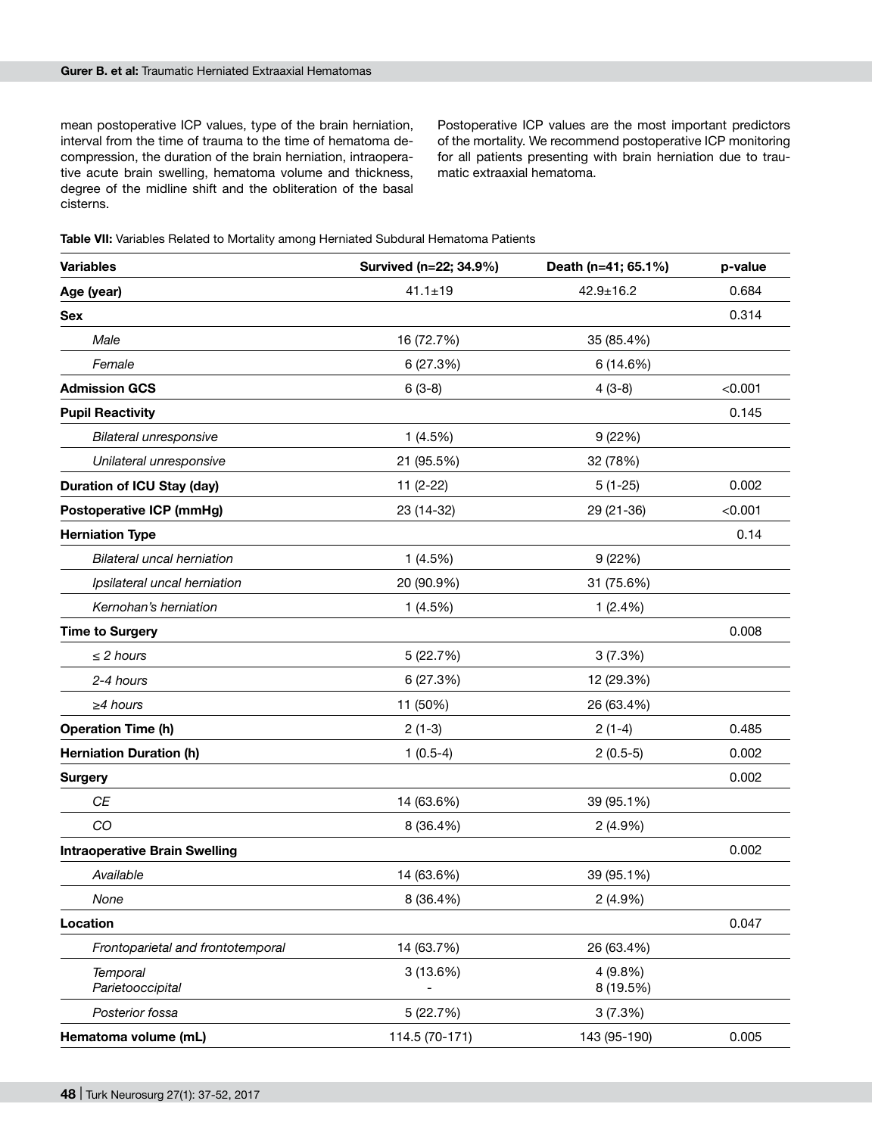mean postoperative ICP values, type of the brain herniation, interval from the time of trauma to the time of hematoma decompression, the duration of the brain herniation, intraoperative acute brain swelling, hematoma volume and thickness, degree of the midline shift and the obliteration of the basal cisterns.

Postoperative ICP values are the most important predictors of the mortality. We recommend postoperative ICP monitoring for all patients presenting with brain herniation due to traumatic extraaxial hematoma.

| Table VII: Variables Related to Mortality among Herniated Subdural Hematoma Patients |
|--------------------------------------------------------------------------------------|
|--------------------------------------------------------------------------------------|

| <b>Variables</b>                     | Survived (n=22; 34.9%) | Death (n=41; 65.1%)  | p-value |
|--------------------------------------|------------------------|----------------------|---------|
| Age (year)                           | $41.1 \pm 19$          | $42.9 \pm 16.2$      | 0.684   |
| <b>Sex</b>                           |                        |                      | 0.314   |
| Male                                 | 16 (72.7%)             | 35 (85.4%)           |         |
| Female                               | 6 (27.3%)              | 6 (14.6%)            |         |
| <b>Admission GCS</b>                 | $6(3-8)$               | $4(3-8)$             | < 0.001 |
| <b>Pupil Reactivity</b>              |                        |                      | 0.145   |
| <b>Bilateral unresponsive</b>        | 1(4.5%)                | 9(22%)               |         |
| Unilateral unresponsive              | 21 (95.5%)             | 32 (78%)             |         |
| <b>Duration of ICU Stay (day)</b>    | $11(2-22)$             | $5(1-25)$            | 0.002   |
| <b>Postoperative ICP (mmHg)</b>      | 23 (14-32)             | 29 (21-36)           | < 0.001 |
| <b>Herniation Type</b>               |                        |                      | 0.14    |
| <b>Bilateral uncal herniation</b>    | 1(4.5%)                | 9(22%)               |         |
| Ipsilateral uncal herniation         | 20 (90.9%)             | 31 (75.6%)           |         |
| Kernohan's herniation                | 1(4.5%)                | 1(2.4%)              |         |
| <b>Time to Surgery</b>               |                        |                      | 0.008   |
| $\leq$ 2 hours                       | 5(22.7%)               | 3(7.3%)              |         |
| 2-4 hours                            | 6 (27.3%)              | 12 (29.3%)           |         |
| $\geq$ 4 hours                       | 11 (50%)               | 26 (63.4%)           |         |
| <b>Operation Time (h)</b>            | $2(1-3)$               | $2(1-4)$             | 0.485   |
| <b>Herniation Duration (h)</b>       | $1(0.5-4)$             | $2(0.5-5)$           | 0.002   |
| <b>Surgery</b>                       |                        |                      | 0.002   |
| CE                                   | 14 (63.6%)             | 39 (95.1%)           |         |
| CO                                   | 8 (36.4%)              | $2(4.9\%)$           |         |
| <b>Intraoperative Brain Swelling</b> |                        |                      | 0.002   |
| Available                            | 14 (63.6%)             | 39 (95.1%)           |         |
| None                                 | 8 (36.4%)              | 2(4.9%)              |         |
| Location                             |                        |                      | 0.047   |
| Frontoparietal and frontotemporal    | 14 (63.7%)             | 26 (63.4%)           |         |
| <b>Temporal</b><br>Parietooccipital  | 3(13.6%)               | 4(9.8%)<br>8 (19.5%) |         |
| Posterior fossa                      | 5 (22.7%)              | 3(7.3%)              |         |
| Hematoma volume (mL)                 | 114.5 (70-171)         | 143 (95-190)         | 0.005   |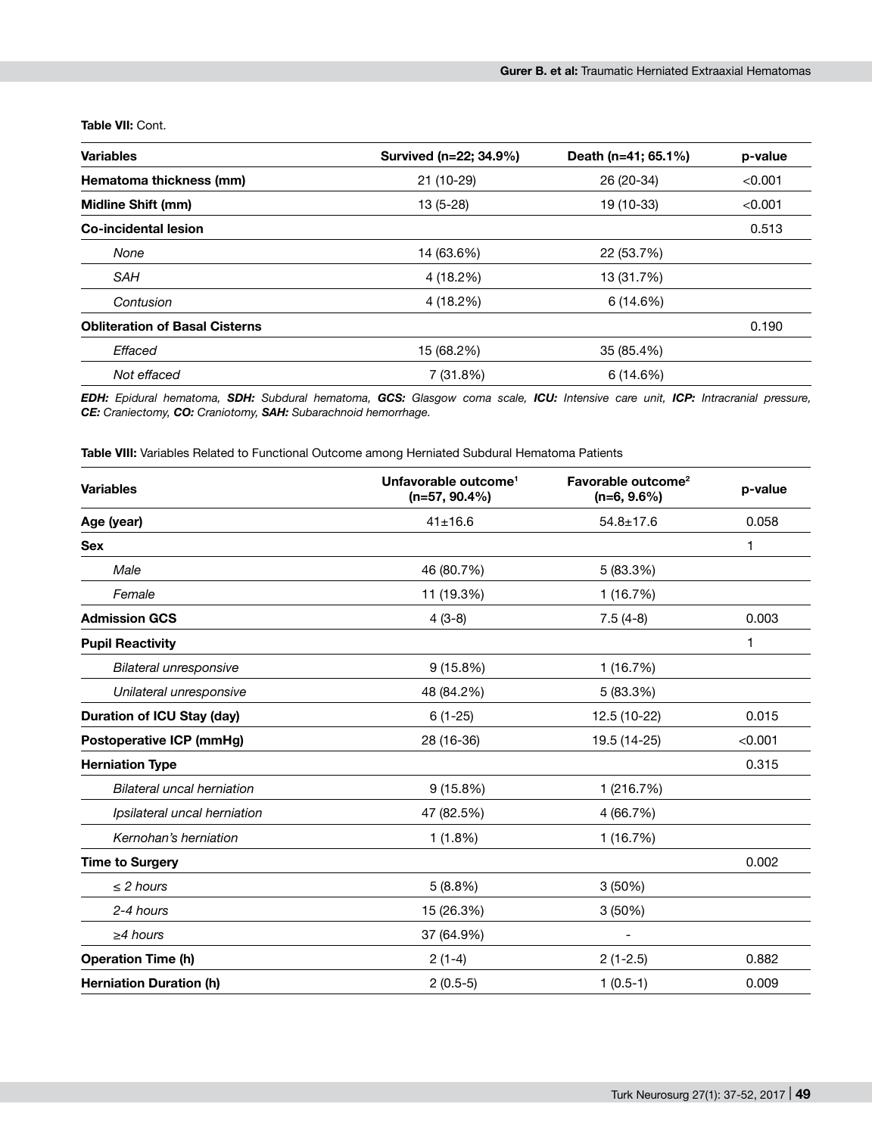**Table VII:** Cont.

| <b>Variables</b>                      | Survived (n=22; 34.9%) | Death (n=41; 65.1%) | p-value |
|---------------------------------------|------------------------|---------------------|---------|
| Hematoma thickness (mm)               | 21 (10-29)             | 26 (20-34)          | < 0.001 |
| <b>Midline Shift (mm)</b>             | $13(5-28)$             | 19 (10-33)          | < 0.001 |
| Co-incidental lesion                  |                        |                     | 0.513   |
| None                                  | 14 (63.6%)             | 22 (53.7%)          |         |
| SAH                                   | 4 (18.2%)              | 13 (31.7%)          |         |
| Contusion                             | 4 (18.2%)              | 6(14.6%)            |         |
| <b>Obliteration of Basal Cisterns</b> |                        |                     | 0.190   |
| Effaced                               | 15 (68.2%)             | 35 (85.4%)          |         |
| Not effaced                           | 7(31.8%)               | 6(14.6%)            |         |

*EDH: Epidural hematoma, SDH: Subdural hematoma, GCS: Glasgow coma scale, ICU: Intensive care unit, ICP: Intracranial pressure, CE: Craniectomy, CO: Craniotomy, SAH: Subarachnoid hemorrhage.*

**Table VIII:** Variables Related to Functional Outcome among Herniated Subdural Hematoma Patients

| <b>Variables</b>                  | Unfavorable outcome <sup>1</sup><br>$(n=57, 90.4\%)$ | Favorable outcome <sup>2</sup><br>$(n=6, 9.6\%)$ | p-value |
|-----------------------------------|------------------------------------------------------|--------------------------------------------------|---------|
| Age (year)                        | $41 \pm 16.6$                                        | $54.8 \pm 17.6$                                  | 0.058   |
| <b>Sex</b>                        |                                                      |                                                  | 1       |
| Male                              | 46 (80.7%)                                           | 5 (83.3%)                                        |         |
| Female                            | 11 (19.3%)                                           | 1(16.7%)                                         |         |
| <b>Admission GCS</b>              | $4(3-8)$                                             | $7.5(4-8)$                                       | 0.003   |
| <b>Pupil Reactivity</b>           |                                                      |                                                  | 1       |
| <b>Bilateral unresponsive</b>     | 9(15.8%)                                             | 1 (16.7%)                                        |         |
| Unilateral unresponsive           | 48 (84.2%)                                           | 5 (83.3%)                                        |         |
| <b>Duration of ICU Stay (day)</b> | $6(1-25)$                                            | 12.5 (10-22)                                     | 0.015   |
| <b>Postoperative ICP (mmHg)</b>   | 28 (16-36)                                           | 19.5 (14-25)                                     | < 0.001 |
| <b>Herniation Type</b>            |                                                      |                                                  | 0.315   |
| <b>Bilateral uncal herniation</b> | 9(15.8%)                                             | 1 (216.7%)                                       |         |
| Ipsilateral uncal herniation      | 47 (82.5%)                                           | 4 (66.7%)                                        |         |
| Kernohan's herniation             | 1(1.8%)                                              | 1(16.7%)                                         |         |
| <b>Time to Surgery</b>            |                                                      |                                                  | 0.002   |
| $\leq$ 2 hours                    | 5(8.8%)                                              | 3(50%)                                           |         |
| 2-4 hours                         | 15 (26.3%)                                           | 3 (50%)                                          |         |
| $\geq$ 4 hours                    | 37 (64.9%)                                           | -                                                |         |
| <b>Operation Time (h)</b>         | $2(1-4)$                                             | $2(1-2.5)$                                       | 0.882   |
| <b>Herniation Duration (h)</b>    | $2(0.5-5)$                                           | $1(0.5-1)$                                       | 0.009   |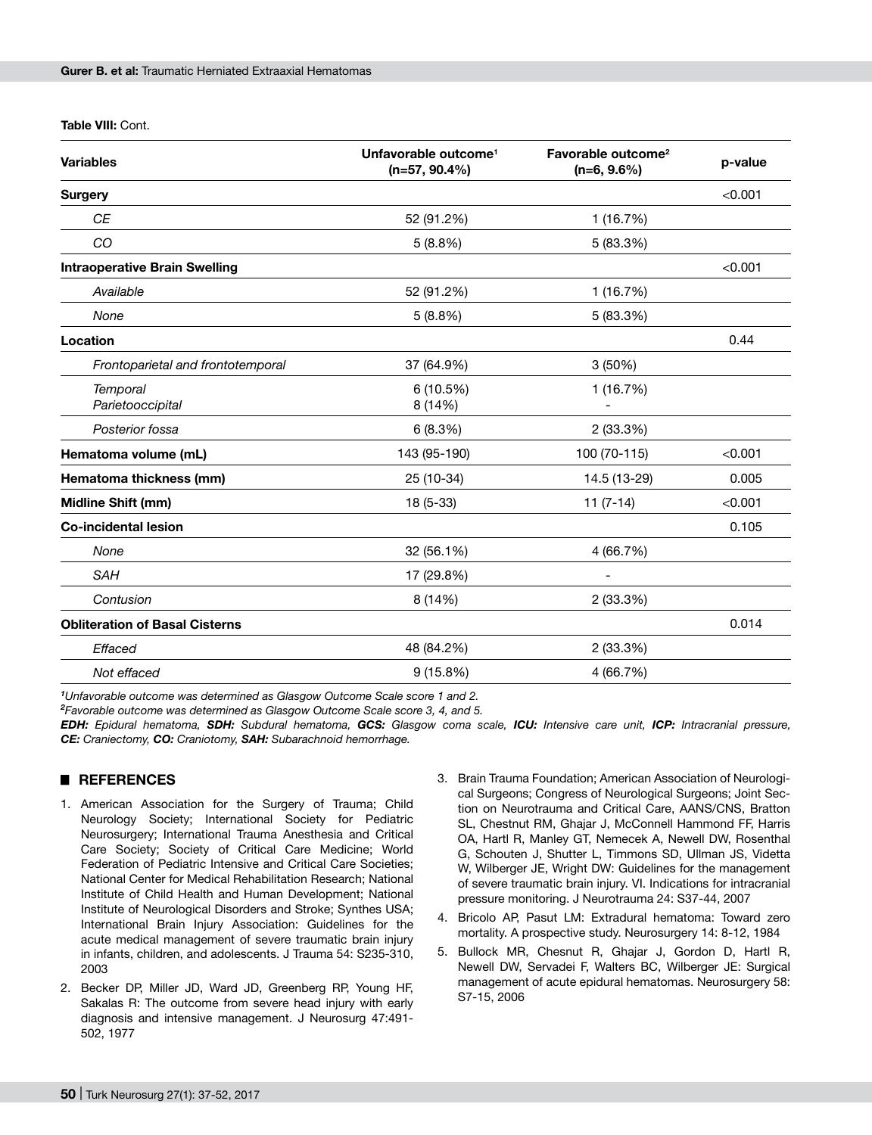**Table VIII:** Cont.

| <b>Variables</b>                      | Unfavorable outcome <sup>1</sup><br>$(n=57, 90.4\%)$ | Favorable outcome <sup>2</sup><br>$(n=6, 9.6\%)$ | p-value |
|---------------------------------------|------------------------------------------------------|--------------------------------------------------|---------|
| <b>Surgery</b>                        |                                                      |                                                  | < 0.001 |
| CE                                    | 52 (91.2%)                                           | 1 (16.7%)                                        |         |
| CO                                    | 5(8.8%)                                              | 5 (83.3%)                                        |         |
| <b>Intraoperative Brain Swelling</b>  |                                                      |                                                  | < 0.001 |
| Available                             | 52 (91.2%)                                           | 1(16.7%)                                         |         |
| None                                  | 5(8.8%)                                              | 5 (83.3%)                                        |         |
| Location                              |                                                      |                                                  | 0.44    |
| Frontoparietal and frontotemporal     | 37 (64.9%)                                           | 3(50%)                                           |         |
| <b>Temporal</b><br>Parietooccipital   | 6(10.5%)<br>8 (14%)                                  | 1 (16.7%)                                        |         |
| Posterior fossa                       | 6(8.3%)                                              | 2 (33.3%)                                        |         |
| Hematoma volume (mL)                  | 143 (95-190)                                         | 100 (70-115)                                     | < 0.001 |
| Hematoma thickness (mm)               | 25 (10-34)                                           | 14.5 (13-29)                                     | 0.005   |
| Midline Shift (mm)                    | 18 (5-33)                                            | $11(7-14)$                                       | < 0.001 |
| <b>Co-incidental lesion</b>           |                                                      |                                                  | 0.105   |
| None                                  | 32 (56.1%)                                           | 4 (66.7%)                                        |         |
| <b>SAH</b>                            | 17 (29.8%)                                           | $\overline{a}$                                   |         |
| Contusion                             | 8 (14%)                                              | 2(33.3%)                                         |         |
| <b>Obliteration of Basal Cisterns</b> |                                                      |                                                  | 0.014   |
| Effaced                               | 48 (84.2%)                                           | 2 (33.3%)                                        |         |
| Not effaced                           | 9(15.8%)                                             | 4 (66.7%)                                        |         |
|                                       |                                                      |                                                  |         |

*1 Unfavorable outcome was determined as Glasgow Outcome Scale score 1 and 2.* 

*2 Favorable outcome was determined as Glasgow Outcome Scale score 3, 4, and 5.*

*EDH: Epidural hematoma, SDH: Subdural hematoma, GCS: Glasgow coma scale, ICU: Intensive care unit, ICP: Intracranial pressure, CE: Craniectomy, CO: Craniotomy, SAH: Subarachnoid hemorrhage.*

### █ **REFERENCES**

- 1. American Association for the Surgery of Trauma; Child Neurology Society; International Society for Pediatric Neurosurgery; International Trauma Anesthesia and Critical Care Society; Society of Critical Care Medicine; World Federation of Pediatric Intensive and Critical Care Societies; National Center for Medical Rehabilitation Research; National Institute of Child Health and Human Development; National Institute of Neurological Disorders and Stroke; Synthes USA; International Brain Injury Association: Guidelines for the acute medical management of severe traumatic brain injury in infants, children, and adolescents. J Trauma 54: S235-310, 2003
- 2. Becker DP, Miller JD, Ward JD, Greenberg RP, Young HF, Sakalas R: The outcome from severe head injury with early diagnosis and intensive management. J Neurosurg 47:491- 502, 1977
- 3. Brain Trauma Foundation; American Association of Neurological Surgeons; Congress of Neurological Surgeons; Joint Section on Neurotrauma and Critical Care, AANS/CNS, Bratton SL, Chestnut RM, Ghajar J, McConnell Hammond FF, Harris OA, Hartl R, Manley GT, Nemecek A, Newell DW, Rosenthal G, Schouten J, Shutter L, Timmons SD, Ullman JS, Videtta W, Wilberger JE, Wright DW: Guidelines for the management of severe traumatic brain injury. VI. Indications for intracranial pressure monitoring. J Neurotrauma 24: S37-44, 2007
- 4. Bricolo AP, Pasut LM: Extradural hematoma: Toward zero mortality. A prospective study. Neurosurgery 14: 8-12, 1984
- 5. Bullock MR, Chesnut R, Ghajar J, Gordon D, Hartl R, Newell DW, Servadei F, Walters BC, Wilberger JE: Surgical management of acute epidural hematomas. Neurosurgery 58: S7-15, 2006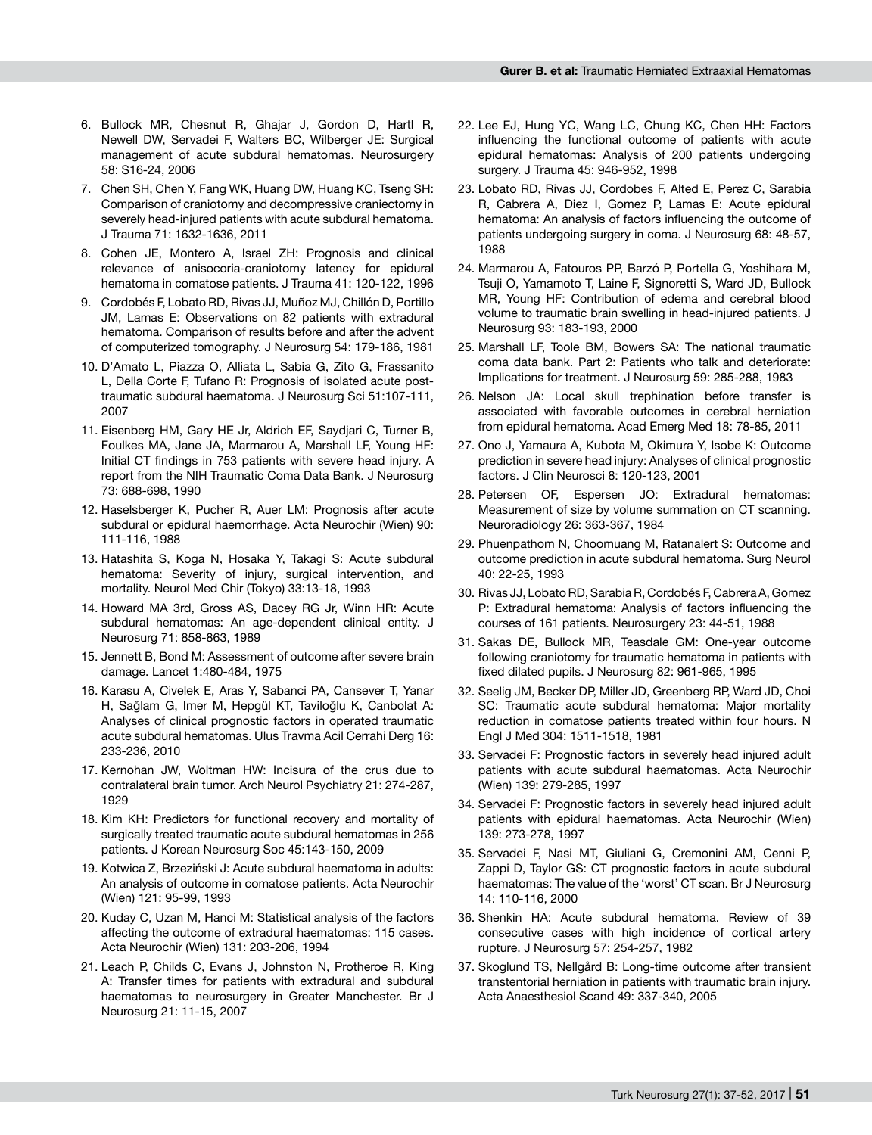- 6. Bullock MR, Chesnut R, Ghajar J, Gordon D, Hartl R, Newell DW, Servadei F, Walters BC, Wilberger JE: Surgical management of acute subdural hematomas. Neurosurgery 58: S16-24, 2006
- 7. Chen SH, Chen Y, Fang WK, Huang DW, Huang KC, Tseng SH: Comparison of craniotomy and decompressive craniectomy in severely head-injured patients with acute subdural hematoma. J Trauma 71: 1632-1636, 2011
- 8. Cohen JE, Montero A, Israel ZH: Prognosis and clinical relevance of anisocoria-craniotomy latency for epidural hematoma in comatose patients. J Trauma 41: 120-122, 1996
- 9. Cordobés F, Lobato RD, Rivas JJ, Muñoz MJ, Chillón D, Portillo JM, Lamas E: Observations on 82 patients with extradural hematoma. Comparison of results before and after the advent of computerized tomography. J Neurosurg 54: 179-186, 1981
- 10. D'Amato L, Piazza O, Alliata L, Sabia G, Zito G, Frassanito L, Della Corte F, Tufano R: Prognosis of isolated acute posttraumatic subdural haematoma. J Neurosurg Sci 51:107-111, 2007
- 11. Eisenberg HM, Gary HE Jr, Aldrich EF, Saydjari C, Turner B, Foulkes MA, Jane JA, Marmarou A, Marshall LF, Young HF: Initial CT findings in 753 patients with severe head injury. A report from the NIH Traumatic Coma Data Bank. J Neurosurg 73: 688-698, 1990
- 12. Haselsberger K, Pucher R, Auer LM: Prognosis after acute subdural or epidural haemorrhage. Acta Neurochir (Wien) 90: 111-116, 1988
- 13. Hatashita S, Koga N, Hosaka Y, Takagi S: Acute subdural hematoma: Severity of injury, surgical intervention, and mortality. Neurol Med Chir (Tokyo) 33:13-18, 1993
- 14. Howard MA 3rd, Gross AS, Dacey RG Jr, Winn HR: Acute subdural hematomas: An age-dependent clinical entity. J Neurosurg 71: 858-863, 1989
- 15. Jennett B, Bond M: Assessment of outcome after severe brain damage. Lancet 1:480-484, 1975
- 16. Karasu A, Civelek E, Aras Y, Sabanci PA, Cansever T, Yanar H, Sağlam G, Imer M, Hepgül KT, Taviloğlu K, Canbolat A: Analyses of clinical prognostic factors in operated traumatic acute subdural hematomas. Ulus Travma Acil Cerrahi Derg 16: 233-236, 2010
- 17. Kernohan JW, Woltman HW: Incisura of the crus due to contralateral brain tumor. Arch Neurol Psychiatry 21: 274-287, 1929
- 18. Kim KH: Predictors for functional recovery and mortality of surgically treated traumatic acute subdural hematomas in 256 patients. J Korean Neurosurg Soc 45:143-150, 2009
- 19. Kotwica Z, Brzeziński J: Acute subdural haematoma in adults: An analysis of outcome in comatose patients. Acta Neurochir (Wien) 121: 95-99, 1993
- 20. Kuday C, Uzan M, Hanci M: Statistical analysis of the factors affecting the outcome of extradural haematomas: 115 cases. Acta Neurochir (Wien) 131: 203-206, 1994
- 21. Leach P, Childs C, Evans J, Johnston N, Protheroe R, King A: Transfer times for patients with extradural and subdural haematomas to neurosurgery in Greater Manchester. Br J Neurosurg 21: 11-15, 2007
- 22. Lee EJ, Hung YC, Wang LC, Chung KC, Chen HH: Factors influencing the functional outcome of patients with acute epidural hematomas: Analysis of 200 patients undergoing surgery. J Trauma 45: 946-952, 1998
- 23. Lobato RD, Rivas JJ, Cordobes F, Alted E, Perez C, Sarabia R, Cabrera A, Diez I, Gomez P, Lamas E: Acute epidural hematoma: An analysis of factors influencing the outcome of patients undergoing surgery in coma. J Neurosurg 68: 48-57, 1988
- 24. Marmarou A, Fatouros PP, Barzó P, Portella G, Yoshihara M, Tsuji O, Yamamoto T, Laine F, Signoretti S, Ward JD, Bullock MR, Young HF: Contribution of edema and cerebral blood volume to traumatic brain swelling in head-injured patients. J Neurosurg 93: 183-193, 2000
- 25. Marshall LF, Toole BM, Bowers SA: The national traumatic coma data bank. Part 2: Patients who talk and deteriorate: Implications for treatment. J Neurosurg 59: 285-288, 1983
- 26. Nelson JA: Local skull trephination before transfer is associated with favorable outcomes in cerebral herniation from epidural hematoma. Acad Emerg Med 18: 78-85, 2011
- 27. Ono J, Yamaura A, Kubota M, Okimura Y, Isobe K: Outcome prediction in severe head injury: Analyses of clinical prognostic factors. J Clin Neurosci 8: 120-123, 2001
- 28. Petersen OF, Espersen JO: Extradural hematomas: Measurement of size by volume summation on CT scanning. Neuroradiology 26: 363-367, 1984
- 29. Phuenpathom N, Choomuang M, Ratanalert S: Outcome and outcome prediction in acute subdural hematoma. Surg Neurol 40: 22-25, 1993
- 30. Rivas JJ, Lobato RD, Sarabia R, Cordobés F, Cabrera A, Gomez P: Extradural hematoma: Analysis of factors influencing the courses of 161 patients. Neurosurgery 23: 44-51, 1988
- 31. Sakas DE, Bullock MR, Teasdale GM: One-year outcome following craniotomy for traumatic hematoma in patients with fixed dilated pupils. J Neurosurg 82: 961-965, 1995
- 32. Seelig JM, Becker DP, Miller JD, Greenberg RP, Ward JD, Choi SC: Traumatic acute subdural hematoma: Major mortality reduction in comatose patients treated within four hours. N Engl J Med 304: 1511-1518, 1981
- 33. Servadei F: Prognostic factors in severely head injured adult patients with acute subdural haematomas. Acta Neurochir (Wien) 139: 279-285, 1997
- 34. Servadei F: Prognostic factors in severely head injured adult patients with epidural haematomas. Acta Neurochir (Wien) 139: 273-278, 1997
- 35. Servadei F, Nasi MT, Giuliani G, Cremonini AM, Cenni P, Zappi D, Taylor GS: CT prognostic factors in acute subdural haematomas: The value of the 'worst' CT scan. Br J Neurosurg 14: 110-116, 2000
- 36. Shenkin HA: Acute subdural hematoma. Review of 39 consecutive cases with high incidence of cortical artery rupture. J Neurosurg 57: 254-257, 1982
- 37. Skoglund TS, Nellgård B: Long-time outcome after transient transtentorial herniation in patients with traumatic brain injury. Acta Anaesthesiol Scand 49: 337-340, 2005